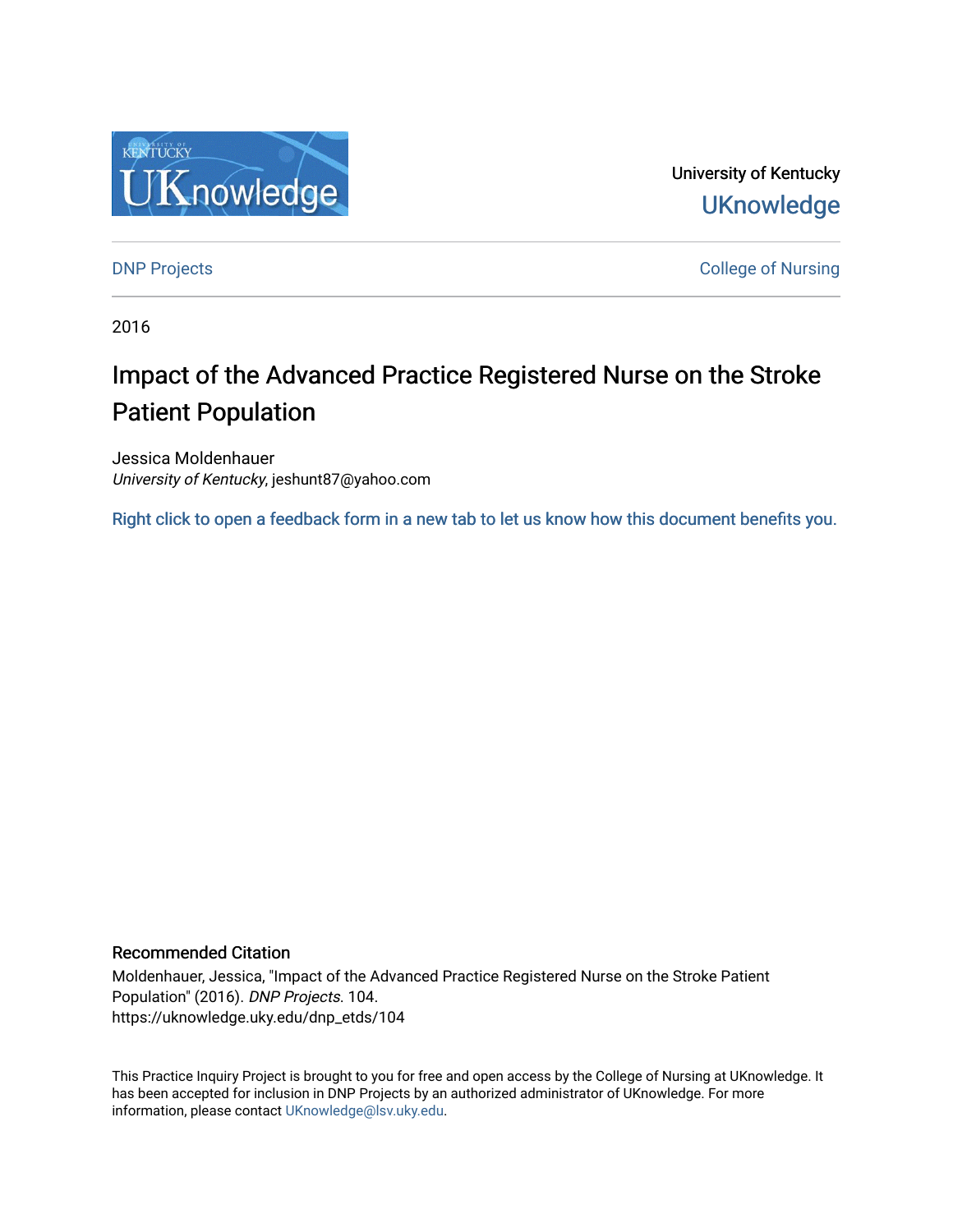

University of Kentucky **UKnowledge** 

[DNP Projects](https://uknowledge.uky.edu/dnp_etds) **College of Nursing** 

2016

# Impact of the Advanced Practice Registered Nurse on the Stroke Patient Population

Jessica Moldenhauer University of Kentucky, jeshunt87@yahoo.com

[Right click to open a feedback form in a new tab to let us know how this document benefits you.](https://uky.az1.qualtrics.com/jfe/form/SV_9mq8fx2GnONRfz7)

#### Recommended Citation

Moldenhauer, Jessica, "Impact of the Advanced Practice Registered Nurse on the Stroke Patient Population" (2016). DNP Projects. 104. https://uknowledge.uky.edu/dnp\_etds/104

This Practice Inquiry Project is brought to you for free and open access by the College of Nursing at UKnowledge. It has been accepted for inclusion in DNP Projects by an authorized administrator of UKnowledge. For more information, please contact [UKnowledge@lsv.uky.edu](mailto:UKnowledge@lsv.uky.edu).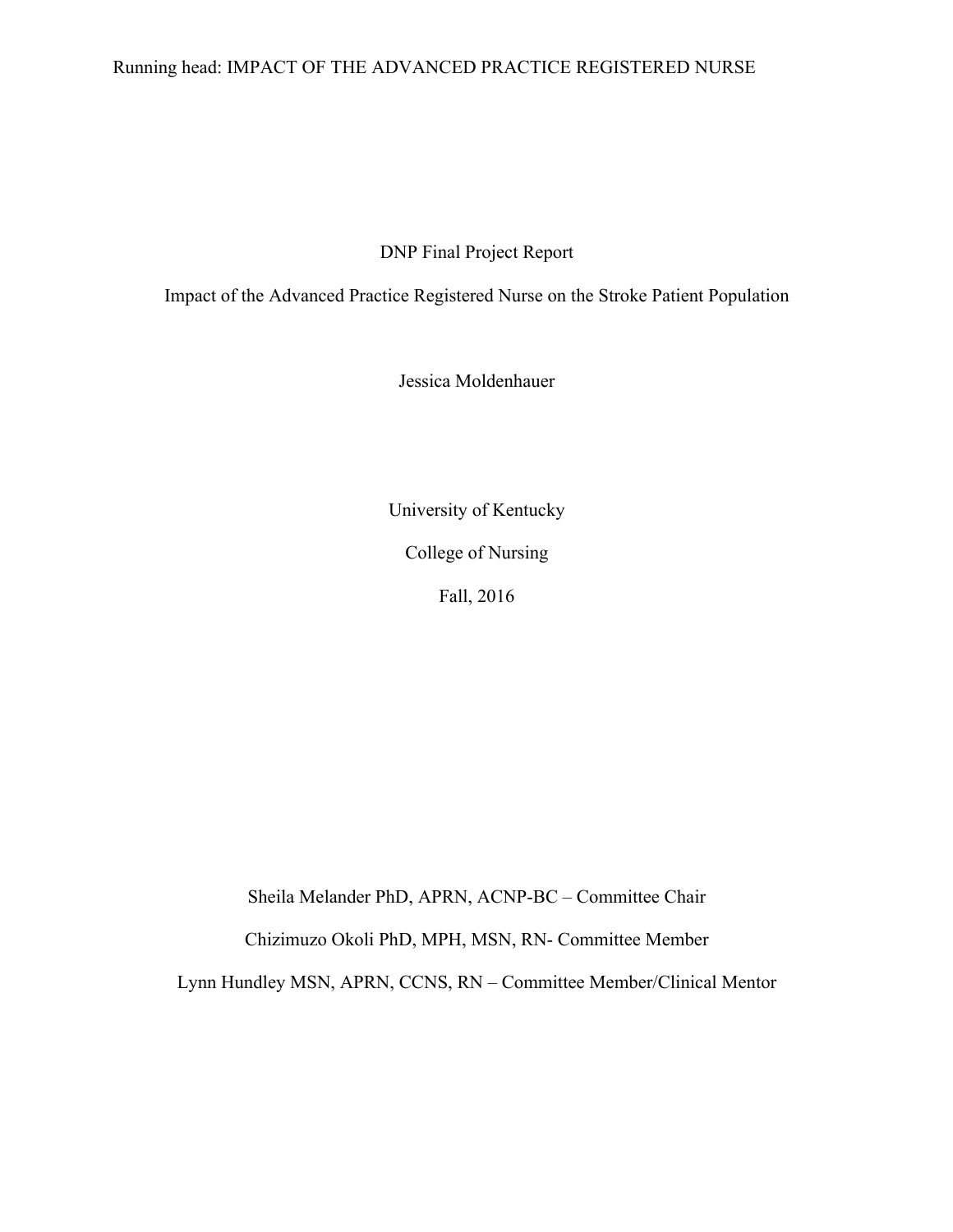### Running head: IMPACT OF THE ADVANCED PRACTICE REGISTERED NURSE

DNP Final Project Report

Impact of the Advanced Practice Registered Nurse on the Stroke Patient Population

Jessica Moldenhauer

University of Kentucky College of Nursing Fall, 2016

Sheila Melander PhD, APRN, ACNP-BC – Committee Chair

Chizimuzo Okoli PhD, MPH, MSN, RN- Committee Member

Lynn Hundley MSN, APRN, CCNS, RN – Committee Member/Clinical Mentor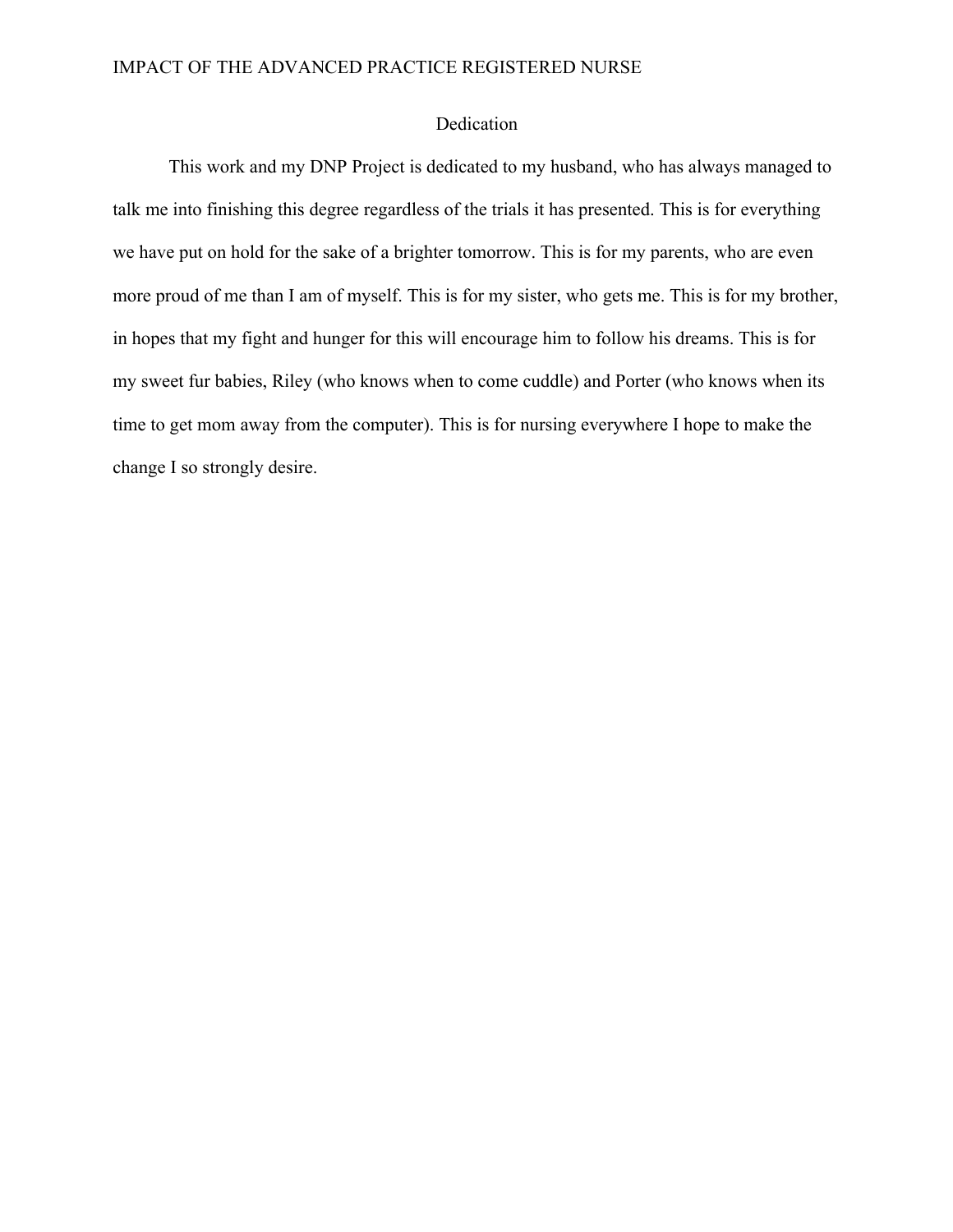#### Dedication

This work and my DNP Project is dedicated to my husband, who has always managed to talk me into finishing this degree regardless of the trials it has presented. This is for everything we have put on hold for the sake of a brighter tomorrow. This is for my parents, who are even more proud of me than I am of myself. This is for my sister, who gets me. This is for my brother, in hopes that my fight and hunger for this will encourage him to follow his dreams. This is for my sweet fur babies, Riley (who knows when to come cuddle) and Porter (who knows when its time to get mom away from the computer). This is for nursing everywhere I hope to make the change I so strongly desire.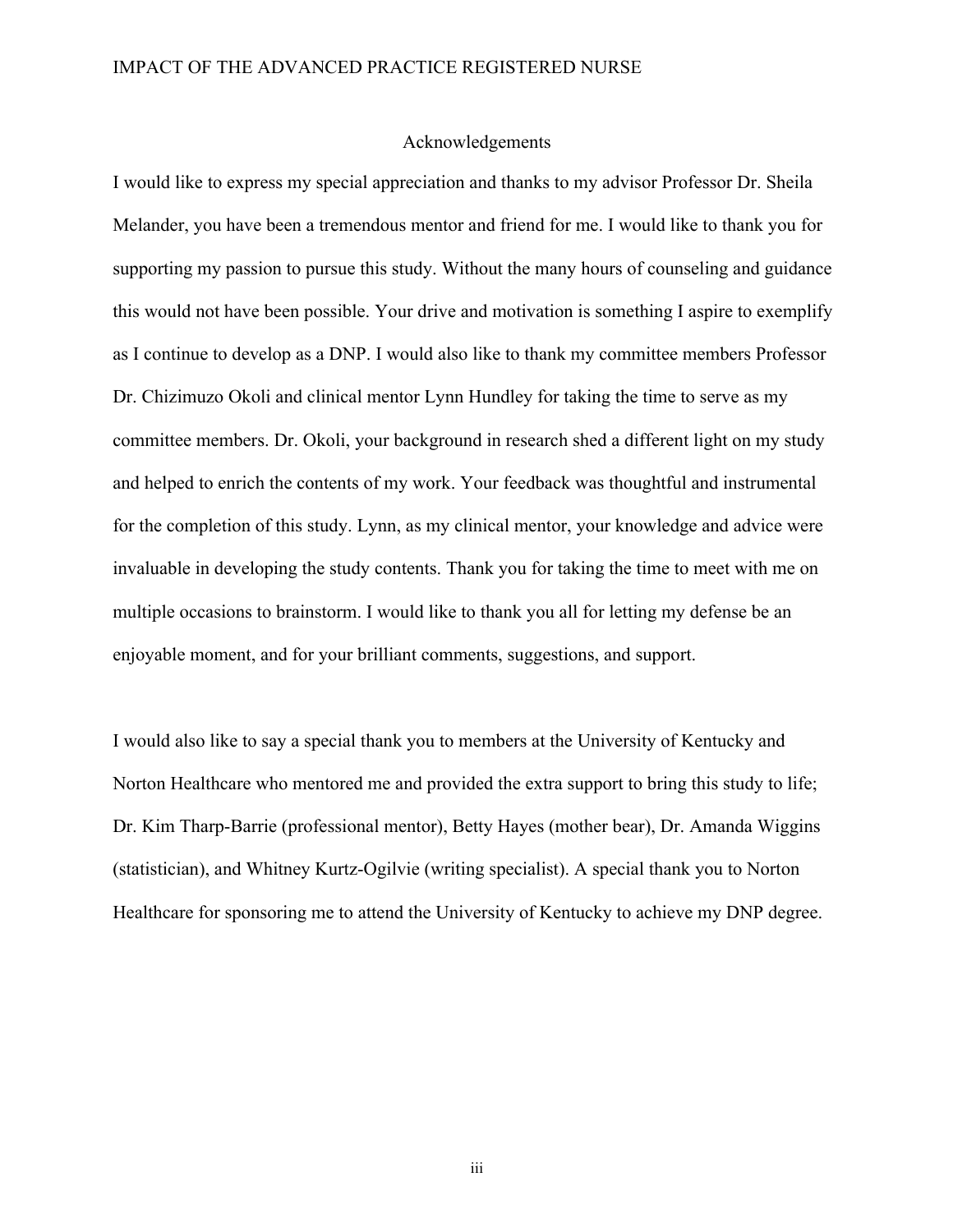#### Acknowledgements

I would like to express my special appreciation and thanks to my advisor Professor Dr. Sheila Melander, you have been a tremendous mentor and friend for me. I would like to thank you for supporting my passion to pursue this study. Without the many hours of counseling and guidance this would not have been possible. Your drive and motivation is something I aspire to exemplify as I continue to develop as a DNP. I would also like to thank my committee members Professor Dr. Chizimuzo Okoli and clinical mentor Lynn Hundley for taking the time to serve as my committee members. Dr. Okoli, your background in research shed a different light on my study and helped to enrich the contents of my work. Your feedback was thoughtful and instrumental for the completion of this study. Lynn, as my clinical mentor, your knowledge and advice were invaluable in developing the study contents. Thank you for taking the time to meet with me on multiple occasions to brainstorm. I would like to thank you all for letting my defense be an enjoyable moment, and for your brilliant comments, suggestions, and support.

I would also like to say a special thank you to members at the University of Kentucky and Norton Healthcare who mentored me and provided the extra support to bring this study to life; Dr. Kim Tharp-Barrie (professional mentor), Betty Hayes (mother bear), Dr. Amanda Wiggins (statistician), and Whitney Kurtz-Ogilvie (writing specialist). A special thank you to Norton Healthcare for sponsoring me to attend the University of Kentucky to achieve my DNP degree.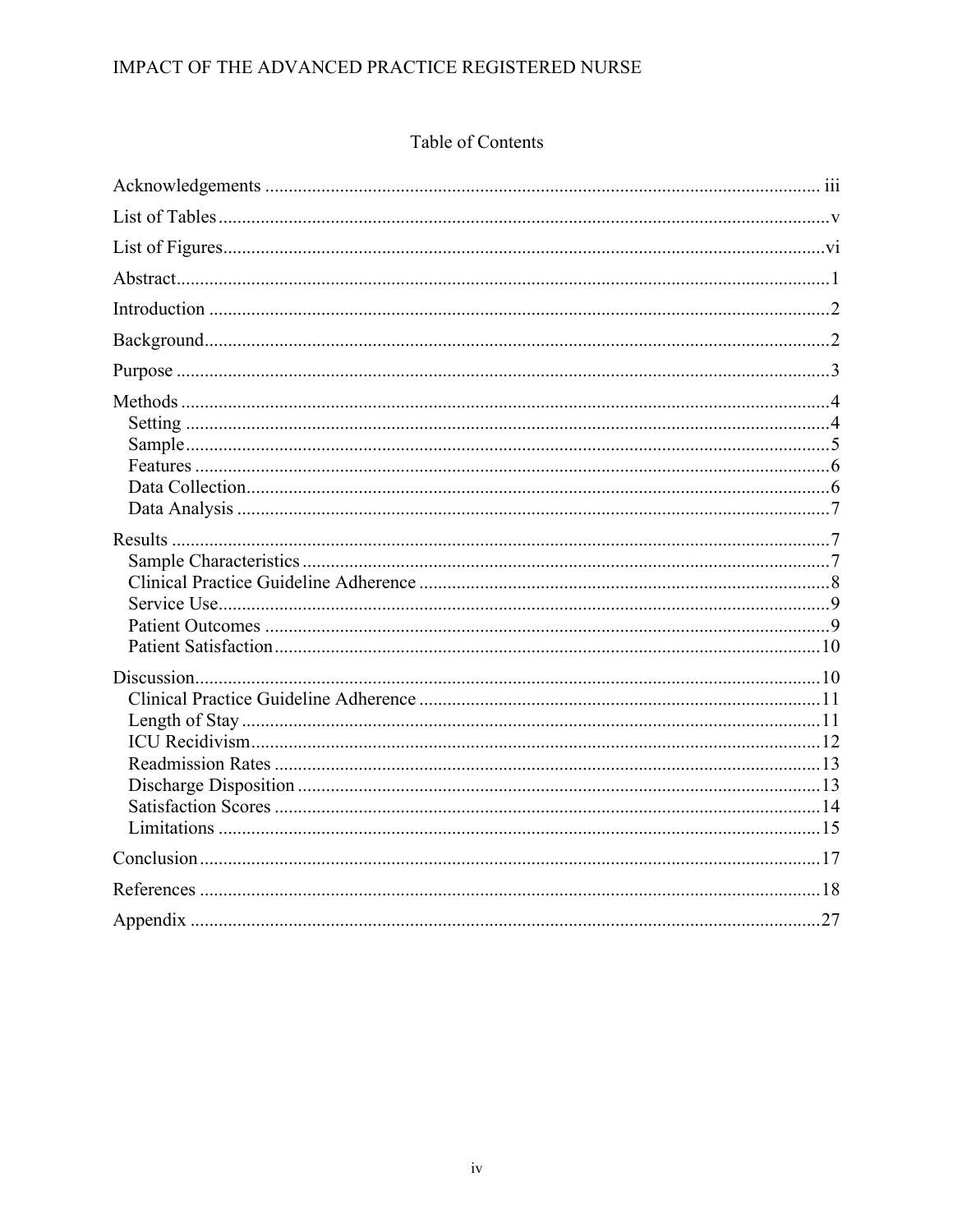### Table of Contents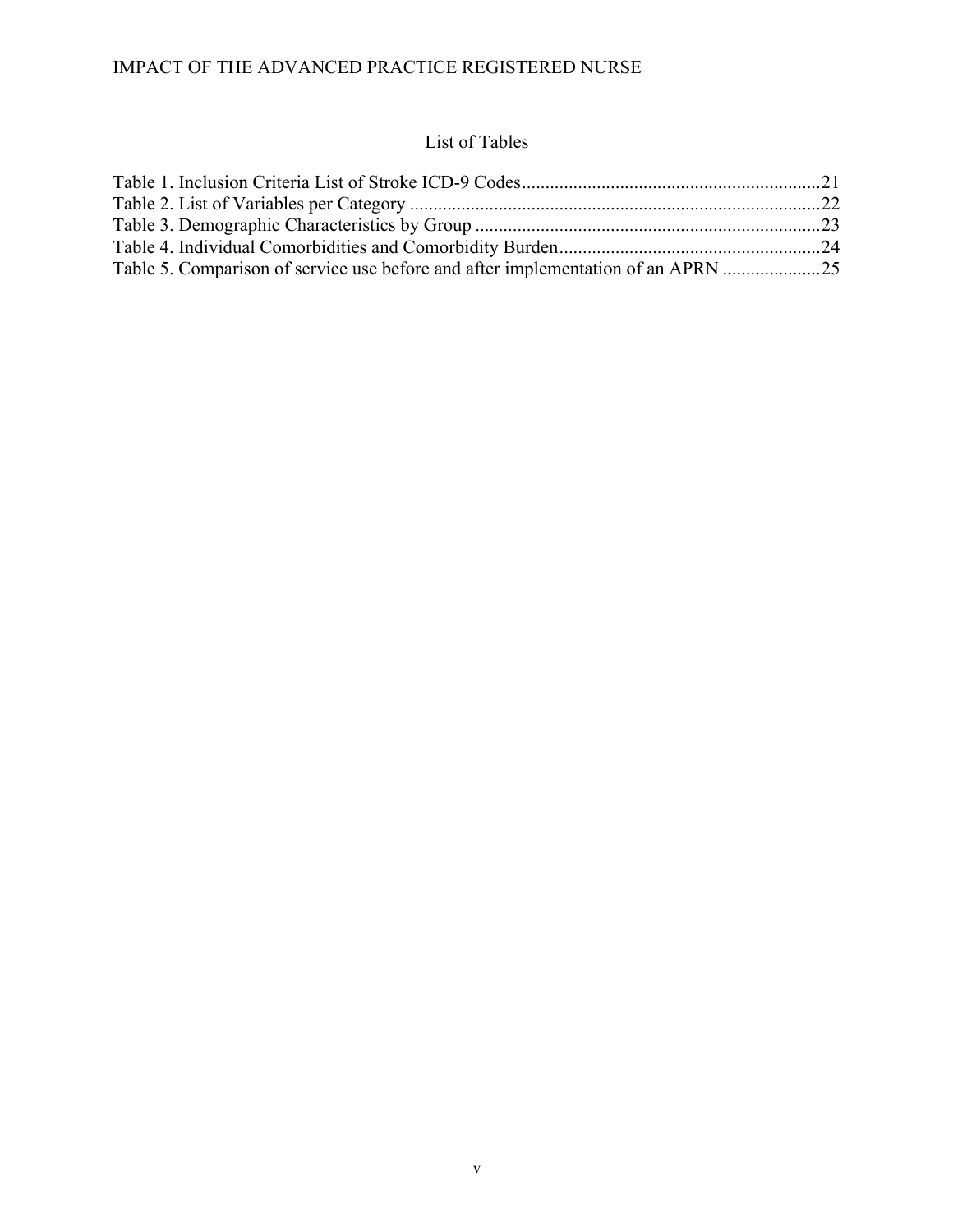### List of Tables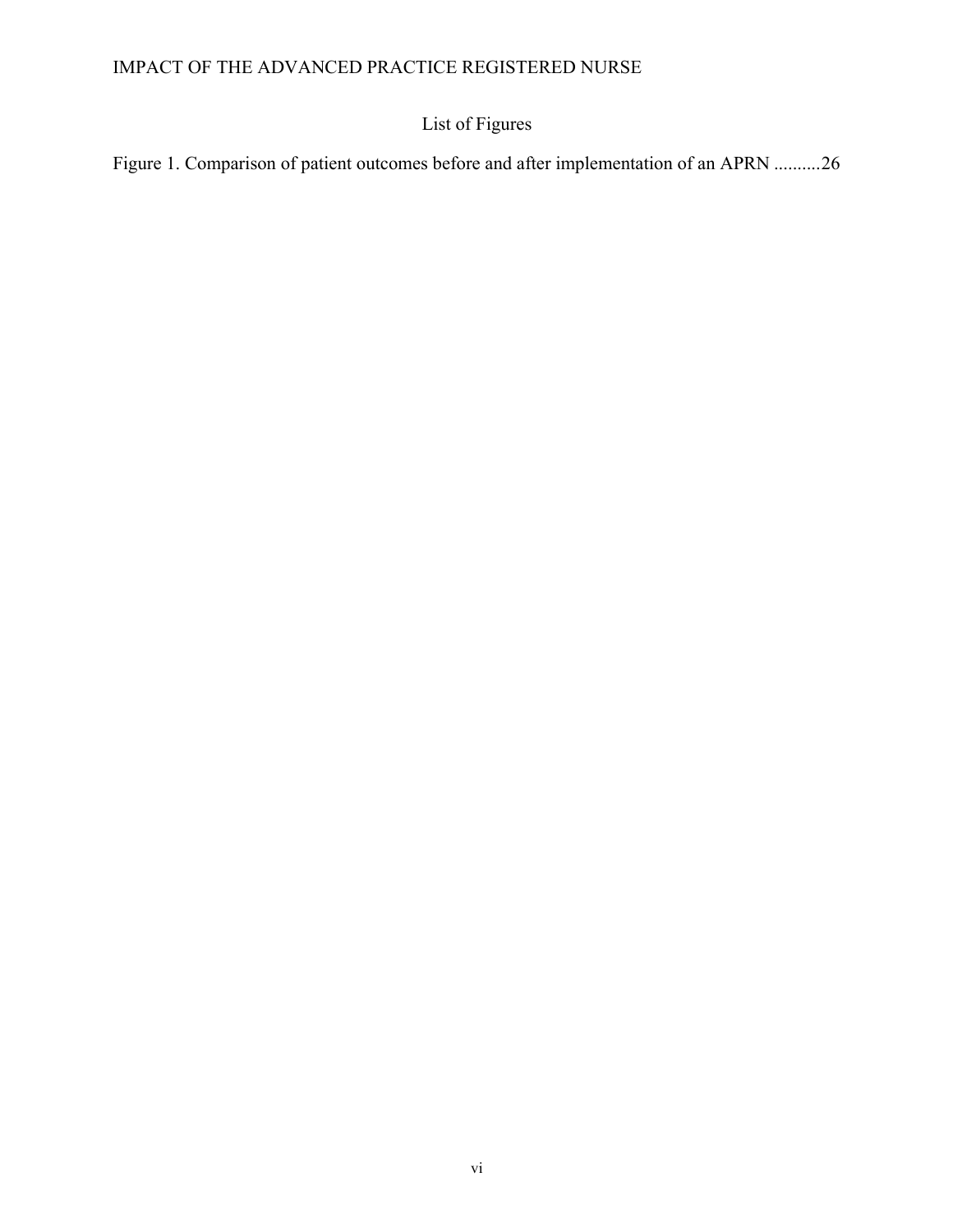# List of Figures

Figure 1. Comparison of patient outcomes before and after implementation of an APRN ..........26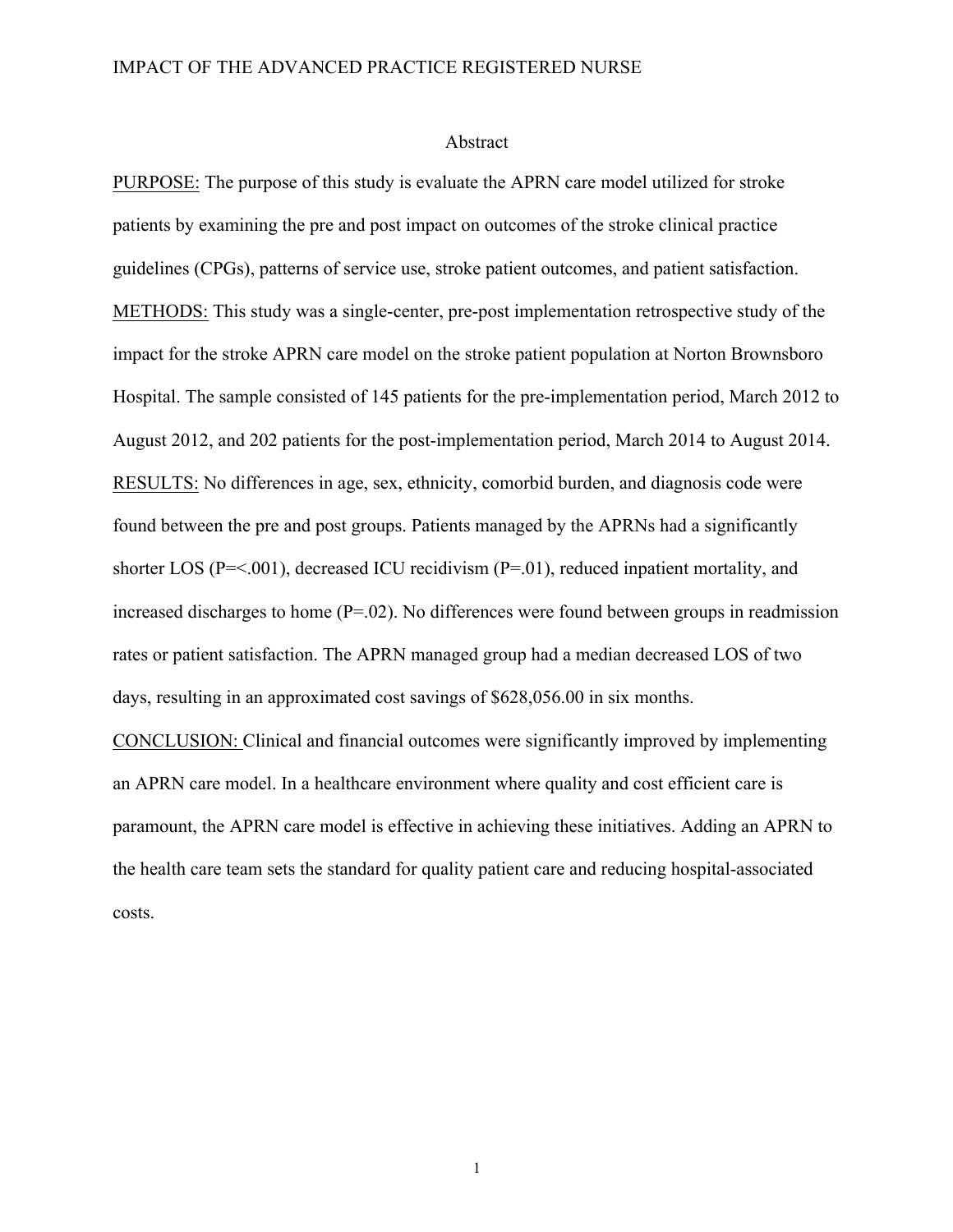#### Abstract

PURPOSE: The purpose of this study is evaluate the APRN care model utilized for stroke patients by examining the pre and post impact on outcomes of the stroke clinical practice guidelines (CPGs), patterns of service use, stroke patient outcomes, and patient satisfaction. METHODS: This study was a single-center, pre-post implementation retrospective study of the impact for the stroke APRN care model on the stroke patient population at Norton Brownsboro Hospital. The sample consisted of 145 patients for the pre-implementation period, March 2012 to August 2012, and 202 patients for the post-implementation period, March 2014 to August 2014. RESULTS: No differences in age, sex, ethnicity, comorbid burden, and diagnosis code were found between the pre and post groups. Patients managed by the APRNs had a significantly shorter LOS (P=<.001), decreased ICU recidivism (P=.01), reduced inpatient mortality, and increased discharges to home  $(P=0.02)$ . No differences were found between groups in readmission rates or patient satisfaction. The APRN managed group had a median decreased LOS of two days, resulting in an approximated cost savings of \$628,056.00 in six months.

CONCLUSION: Clinical and financial outcomes were significantly improved by implementing an APRN care model. In a healthcare environment where quality and cost efficient care is paramount, the APRN care model is effective in achieving these initiatives. Adding an APRN to the health care team sets the standard for quality patient care and reducing hospital-associated costs.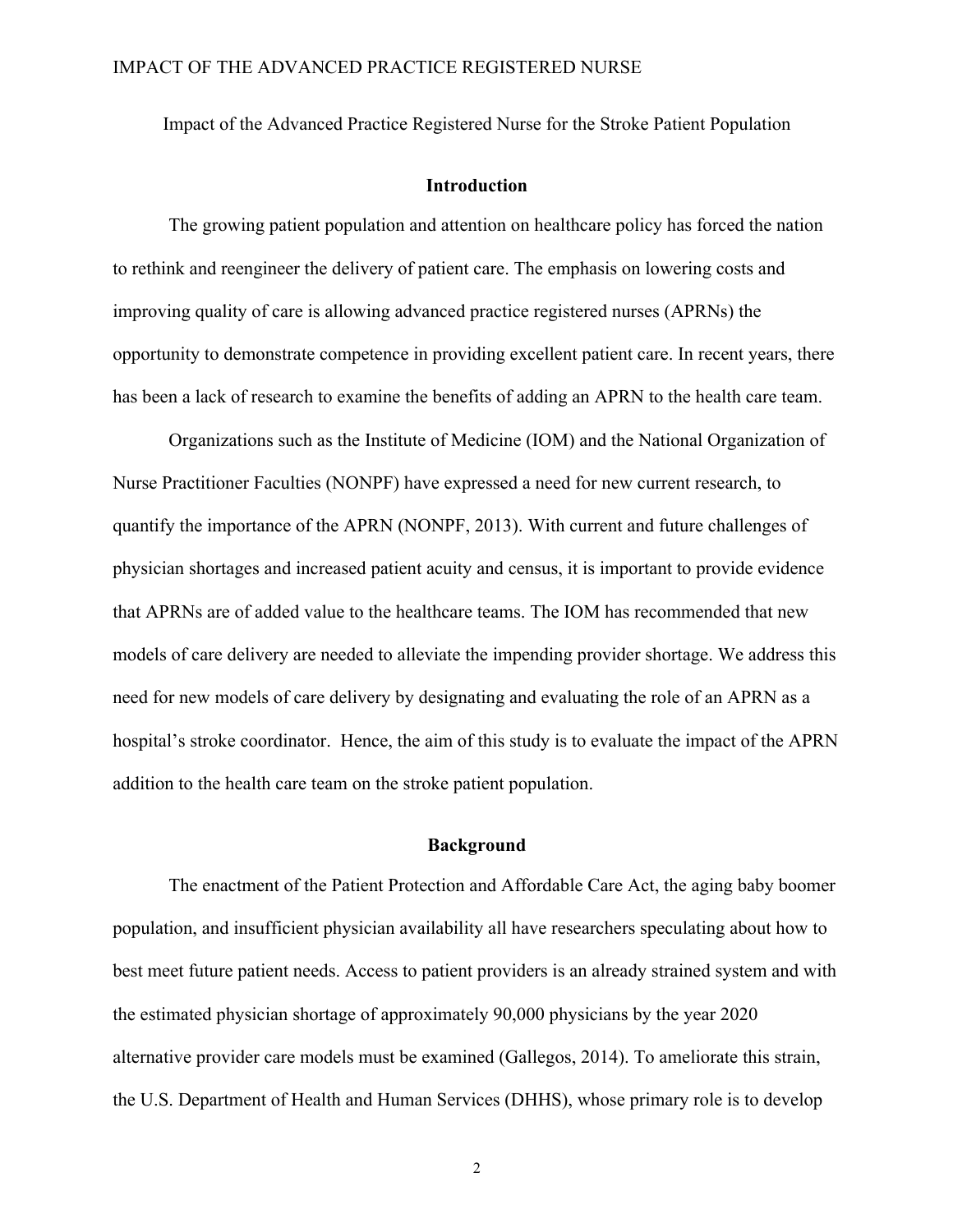Impact of the Advanced Practice Registered Nurse for the Stroke Patient Population

#### **Introduction**

The growing patient population and attention on healthcare policy has forced the nation to rethink and reengineer the delivery of patient care. The emphasis on lowering costs and improving quality of care is allowing advanced practice registered nurses (APRNs) the opportunity to demonstrate competence in providing excellent patient care. In recent years, there has been a lack of research to examine the benefits of adding an APRN to the health care team.

Organizations such as the Institute of Medicine (IOM) and the National Organization of Nurse Practitioner Faculties (NONPF) have expressed a need for new current research, to quantify the importance of the APRN (NONPF, 2013). With current and future challenges of physician shortages and increased patient acuity and census, it is important to provide evidence that APRNs are of added value to the healthcare teams. The IOM has recommended that new models of care delivery are needed to alleviate the impending provider shortage. We address this need for new models of care delivery by designating and evaluating the role of an APRN as a hospital's stroke coordinator. Hence, the aim of this study is to evaluate the impact of the APRN addition to the health care team on the stroke patient population.

#### **Background**

The enactment of the Patient Protection and Affordable Care Act, the aging baby boomer population, and insufficient physician availability all have researchers speculating about how to best meet future patient needs. Access to patient providers is an already strained system and with the estimated physician shortage of approximately 90,000 physicians by the year 2020 alternative provider care models must be examined (Gallegos, 2014). To ameliorate this strain, the U.S. Department of Health and Human Services (DHHS), whose primary role is to develop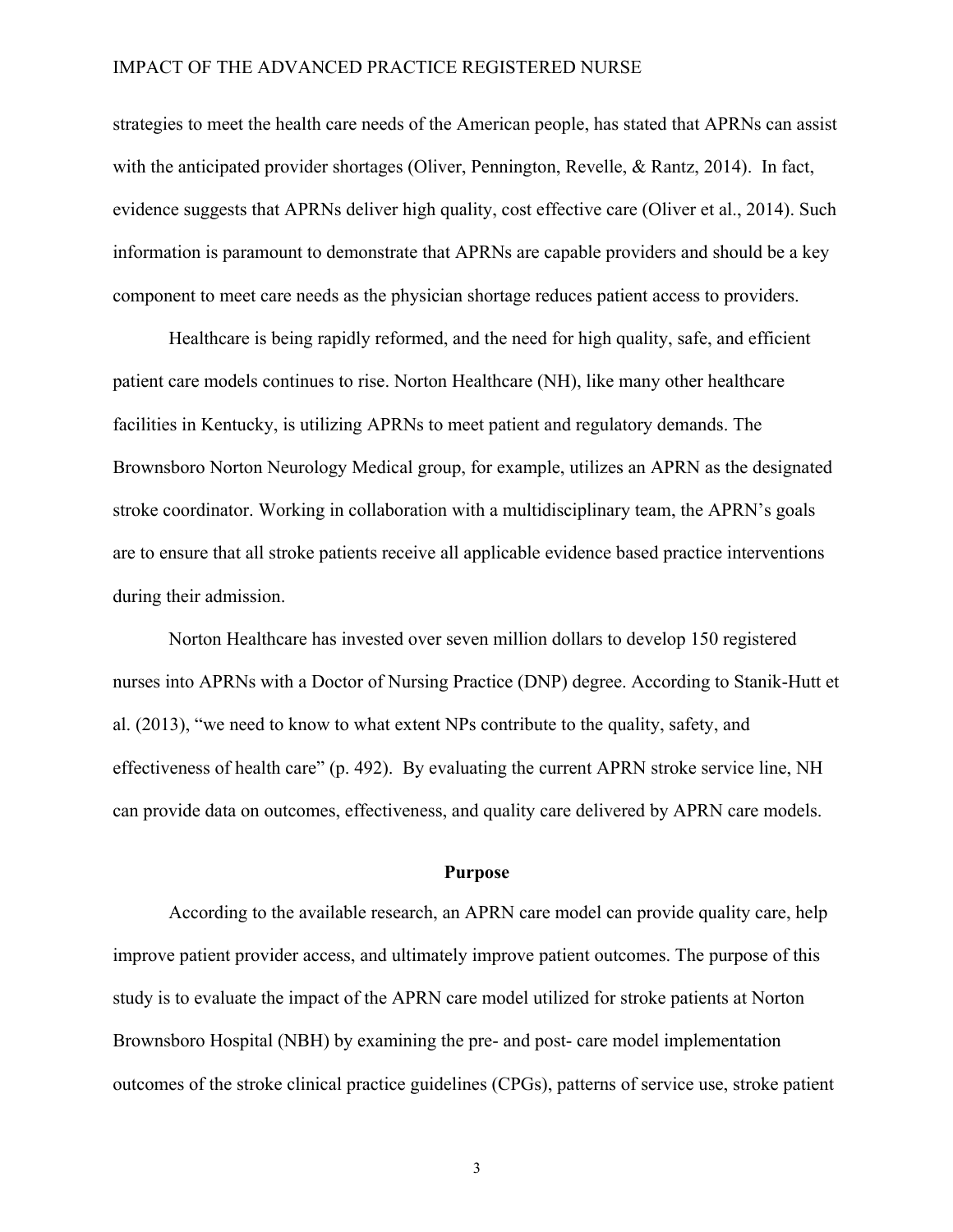strategies to meet the health care needs of the American people, has stated that APRNs can assist with the anticipated provider shortages (Oliver, Pennington, Revelle, & Rantz, 2014). In fact, evidence suggests that APRNs deliver high quality, cost effective care (Oliver et al., 2014). Such information is paramount to demonstrate that APRNs are capable providers and should be a key component to meet care needs as the physician shortage reduces patient access to providers.

Healthcare is being rapidly reformed, and the need for high quality, safe, and efficient patient care models continues to rise. Norton Healthcare (NH), like many other healthcare facilities in Kentucky, is utilizing APRNs to meet patient and regulatory demands. The Brownsboro Norton Neurology Medical group, for example, utilizes an APRN as the designated stroke coordinator. Working in collaboration with a multidisciplinary team, the APRN's goals are to ensure that all stroke patients receive all applicable evidence based practice interventions during their admission.

Norton Healthcare has invested over seven million dollars to develop 150 registered nurses into APRNs with a Doctor of Nursing Practice (DNP) degree. According to Stanik-Hutt et al. (2013), "we need to know to what extent NPs contribute to the quality, safety, and effectiveness of health care" (p. 492). By evaluating the current APRN stroke service line, NH can provide data on outcomes, effectiveness, and quality care delivered by APRN care models.

#### **Purpose**

According to the available research, an APRN care model can provide quality care, help improve patient provider access, and ultimately improve patient outcomes. The purpose of this study is to evaluate the impact of the APRN care model utilized for stroke patients at Norton Brownsboro Hospital (NBH) by examining the pre- and post- care model implementation outcomes of the stroke clinical practice guidelines (CPGs), patterns of service use, stroke patient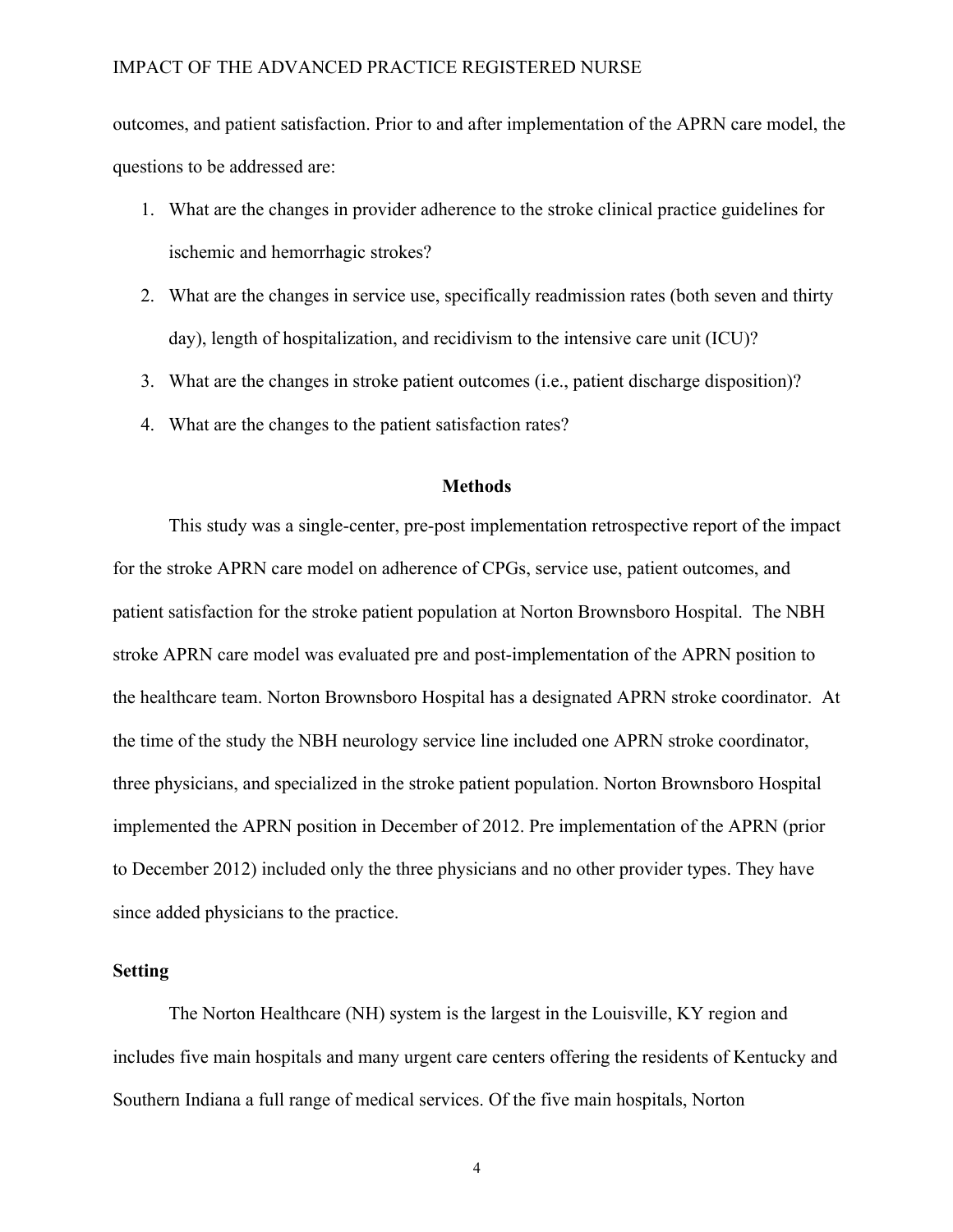outcomes, and patient satisfaction. Prior to and after implementation of the APRN care model, the questions to be addressed are:

- 1. What are the changes in provider adherence to the stroke clinical practice guidelines for ischemic and hemorrhagic strokes?
- 2. What are the changes in service use, specifically readmission rates (both seven and thirty day), length of hospitalization, and recidivism to the intensive care unit (ICU)?
- 3. What are the changes in stroke patient outcomes (i.e., patient discharge disposition)?
- 4. What are the changes to the patient satisfaction rates?

#### **Methods**

This study was a single-center, pre-post implementation retrospective report of the impact for the stroke APRN care model on adherence of CPGs, service use, patient outcomes, and patient satisfaction for the stroke patient population at Norton Brownsboro Hospital. The NBH stroke APRN care model was evaluated pre and post-implementation of the APRN position to the healthcare team. Norton Brownsboro Hospital has a designated APRN stroke coordinator. At the time of the study the NBH neurology service line included one APRN stroke coordinator, three physicians, and specialized in the stroke patient population. Norton Brownsboro Hospital implemented the APRN position in December of 2012. Pre implementation of the APRN (prior to December 2012) included only the three physicians and no other provider types. They have since added physicians to the practice.

#### **Setting**

The Norton Healthcare (NH) system is the largest in the Louisville, KY region and includes five main hospitals and many urgent care centers offering the residents of Kentucky and Southern Indiana a full range of medical services. Of the five main hospitals, Norton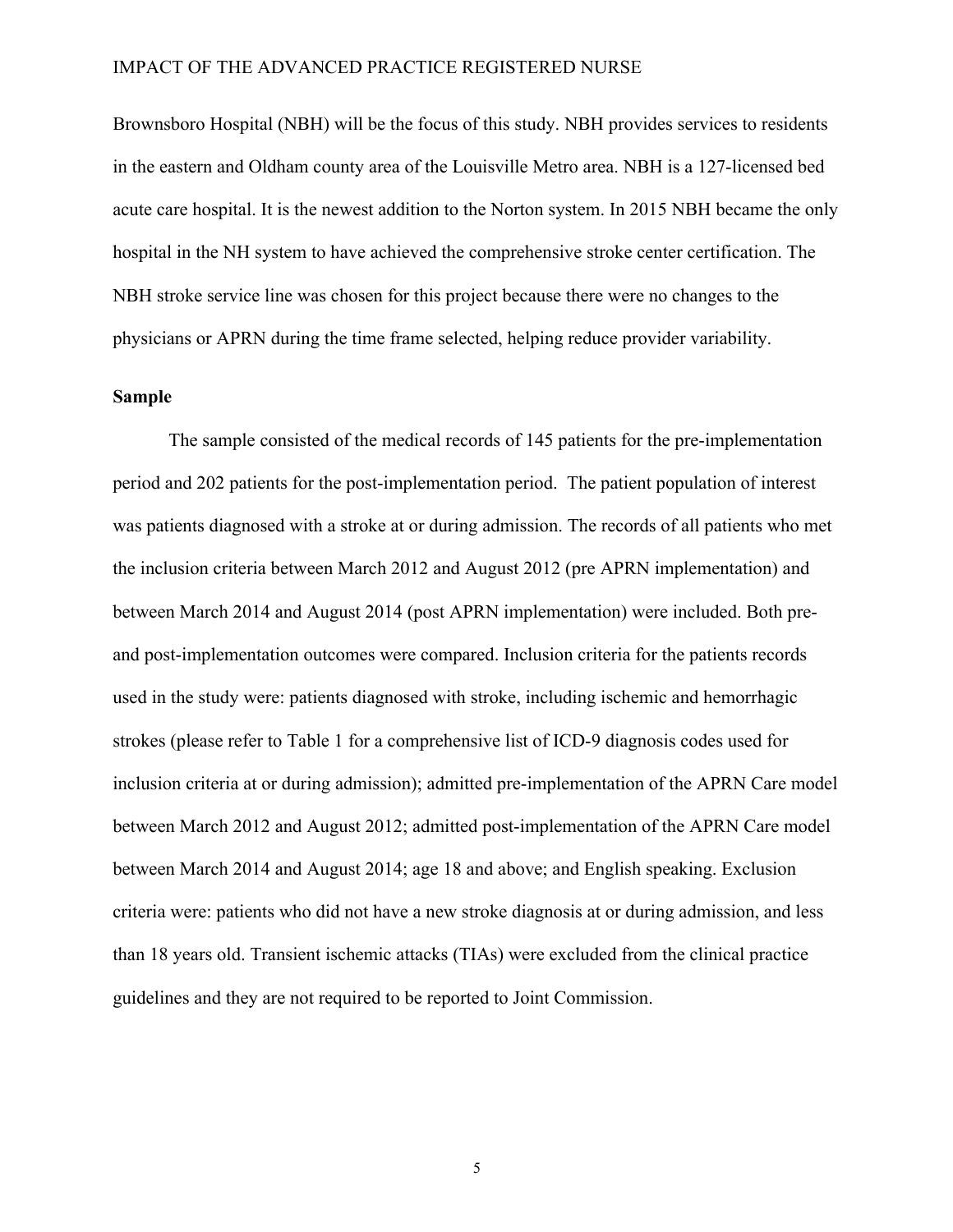Brownsboro Hospital (NBH) will be the focus of this study. NBH provides services to residents in the eastern and Oldham county area of the Louisville Metro area. NBH is a 127-licensed bed acute care hospital. It is the newest addition to the Norton system. In 2015 NBH became the only hospital in the NH system to have achieved the comprehensive stroke center certification. The NBH stroke service line was chosen for this project because there were no changes to the physicians or APRN during the time frame selected, helping reduce provider variability.

#### **Sample**

The sample consisted of the medical records of 145 patients for the pre-implementation period and 202 patients for the post-implementation period. The patient population of interest was patients diagnosed with a stroke at or during admission. The records of all patients who met the inclusion criteria between March 2012 and August 2012 (pre APRN implementation) and between March 2014 and August 2014 (post APRN implementation) were included. Both preand post-implementation outcomes were compared. Inclusion criteria for the patients records used in the study were: patients diagnosed with stroke, including ischemic and hemorrhagic strokes (please refer to Table 1 for a comprehensive list of ICD-9 diagnosis codes used for inclusion criteria at or during admission); admitted pre-implementation of the APRN Care model between March 2012 and August 2012; admitted post-implementation of the APRN Care model between March 2014 and August 2014; age 18 and above; and English speaking. Exclusion criteria were: patients who did not have a new stroke diagnosis at or during admission, and less than 18 years old. Transient ischemic attacks (TIAs) were excluded from the clinical practice guidelines and they are not required to be reported to Joint Commission.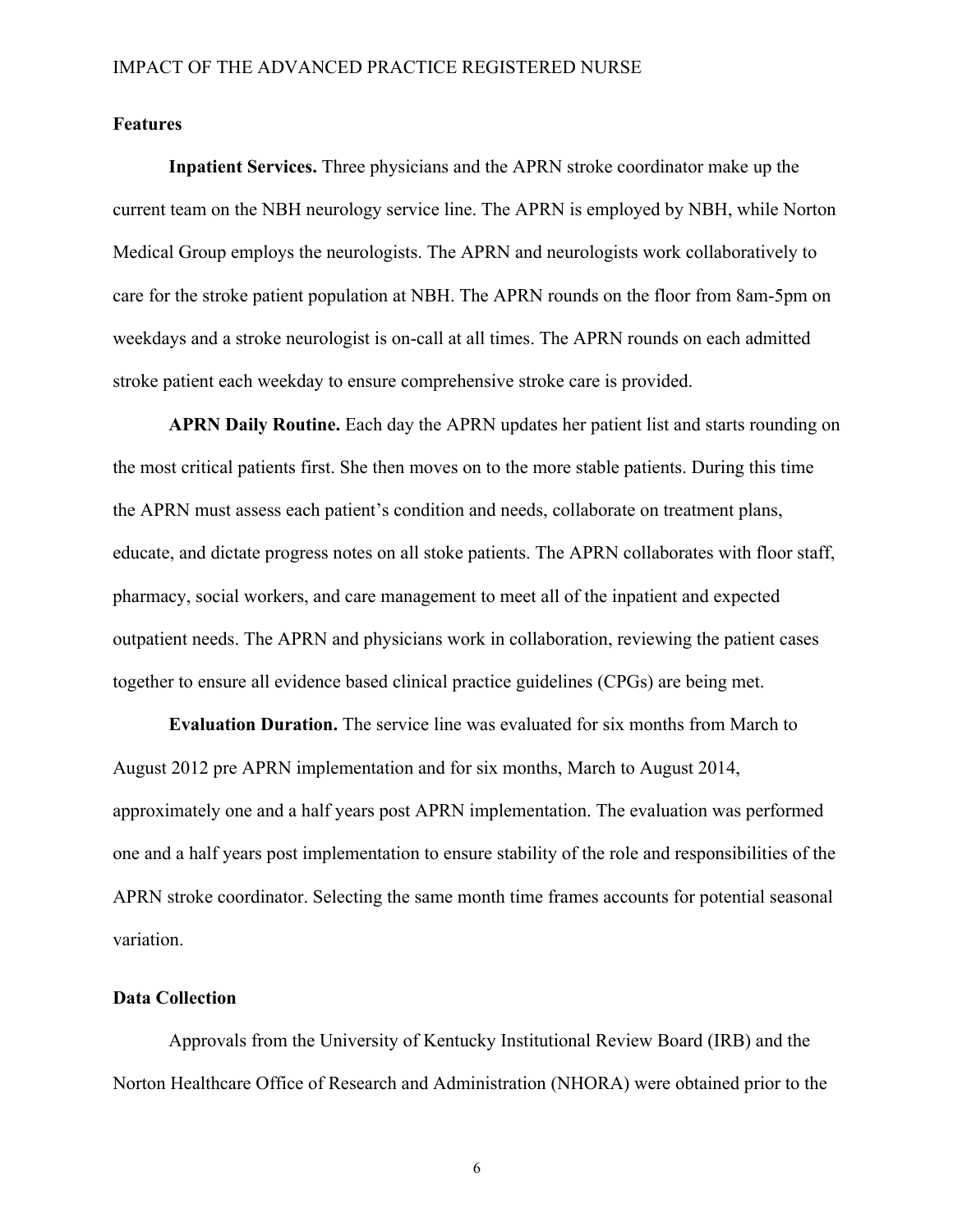#### **Features**

**Inpatient Services.** Three physicians and the APRN stroke coordinator make up the current team on the NBH neurology service line. The APRN is employed by NBH, while Norton Medical Group employs the neurologists. The APRN and neurologists work collaboratively to care for the stroke patient population at NBH. The APRN rounds on the floor from 8am-5pm on weekdays and a stroke neurologist is on-call at all times. The APRN rounds on each admitted stroke patient each weekday to ensure comprehensive stroke care is provided.

**APRN Daily Routine.** Each day the APRN updates her patient list and starts rounding on the most critical patients first. She then moves on to the more stable patients. During this time the APRN must assess each patient's condition and needs, collaborate on treatment plans, educate, and dictate progress notes on all stoke patients. The APRN collaborates with floor staff, pharmacy, social workers, and care management to meet all of the inpatient and expected outpatient needs. The APRN and physicians work in collaboration, reviewing the patient cases together to ensure all evidence based clinical practice guidelines (CPGs) are being met.

**Evaluation Duration.** The service line was evaluated for six months from March to August 2012 pre APRN implementation and for six months, March to August 2014, approximately one and a half years post APRN implementation. The evaluation was performed one and a half years post implementation to ensure stability of the role and responsibilities of the APRN stroke coordinator. Selecting the same month time frames accounts for potential seasonal variation.

#### **Data Collection**

Approvals from the University of Kentucky Institutional Review Board (IRB) and the Norton Healthcare Office of Research and Administration (NHORA) were obtained prior to the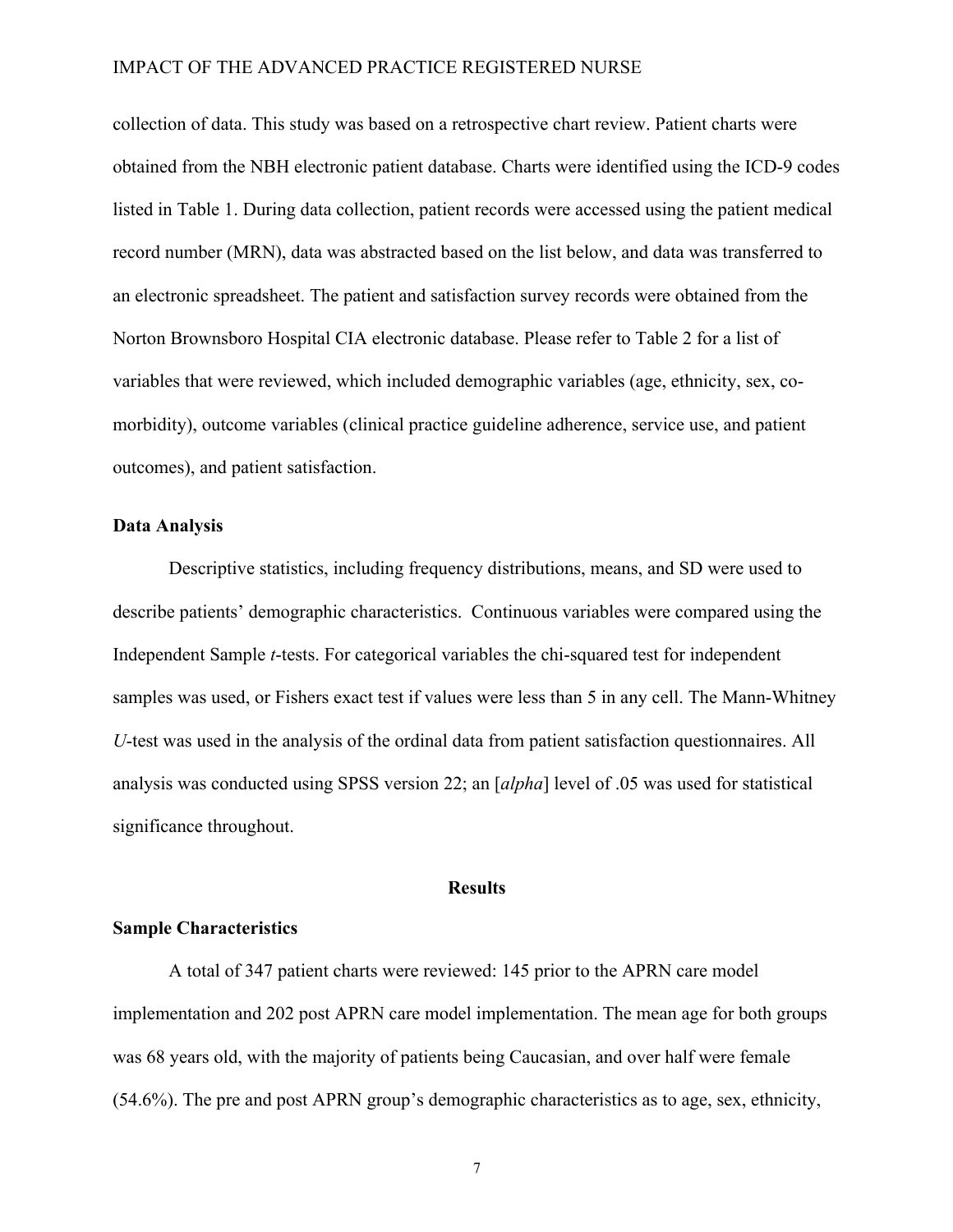collection of data. This study was based on a retrospective chart review. Patient charts were obtained from the NBH electronic patient database. Charts were identified using the ICD-9 codes listed in Table 1. During data collection, patient records were accessed using the patient medical record number (MRN), data was abstracted based on the list below, and data was transferred to an electronic spreadsheet. The patient and satisfaction survey records were obtained from the Norton Brownsboro Hospital CIA electronic database. Please refer to Table 2 for a list of variables that were reviewed, which included demographic variables (age, ethnicity, sex, comorbidity), outcome variables (clinical practice guideline adherence, service use, and patient outcomes), and patient satisfaction.

#### **Data Analysis**

Descriptive statistics, including frequency distributions, means, and SD were used to describe patients' demographic characteristics. Continuous variables were compared using the Independent Sample *t*-tests. For categorical variables the chi-squared test for independent samples was used, or Fishers exact test if values were less than 5 in any cell. The Mann-Whitney *U*-test was used in the analysis of the ordinal data from patient satisfaction questionnaires. All analysis was conducted using SPSS version 22; an [*alpha*] level of .05 was used for statistical significance throughout.

#### **Results**

#### **Sample Characteristics**

A total of 347 patient charts were reviewed: 145 prior to the APRN care model implementation and 202 post APRN care model implementation. The mean age for both groups was 68 years old, with the majority of patients being Caucasian, and over half were female (54.6%). The pre and post APRN group's demographic characteristics as to age, sex, ethnicity,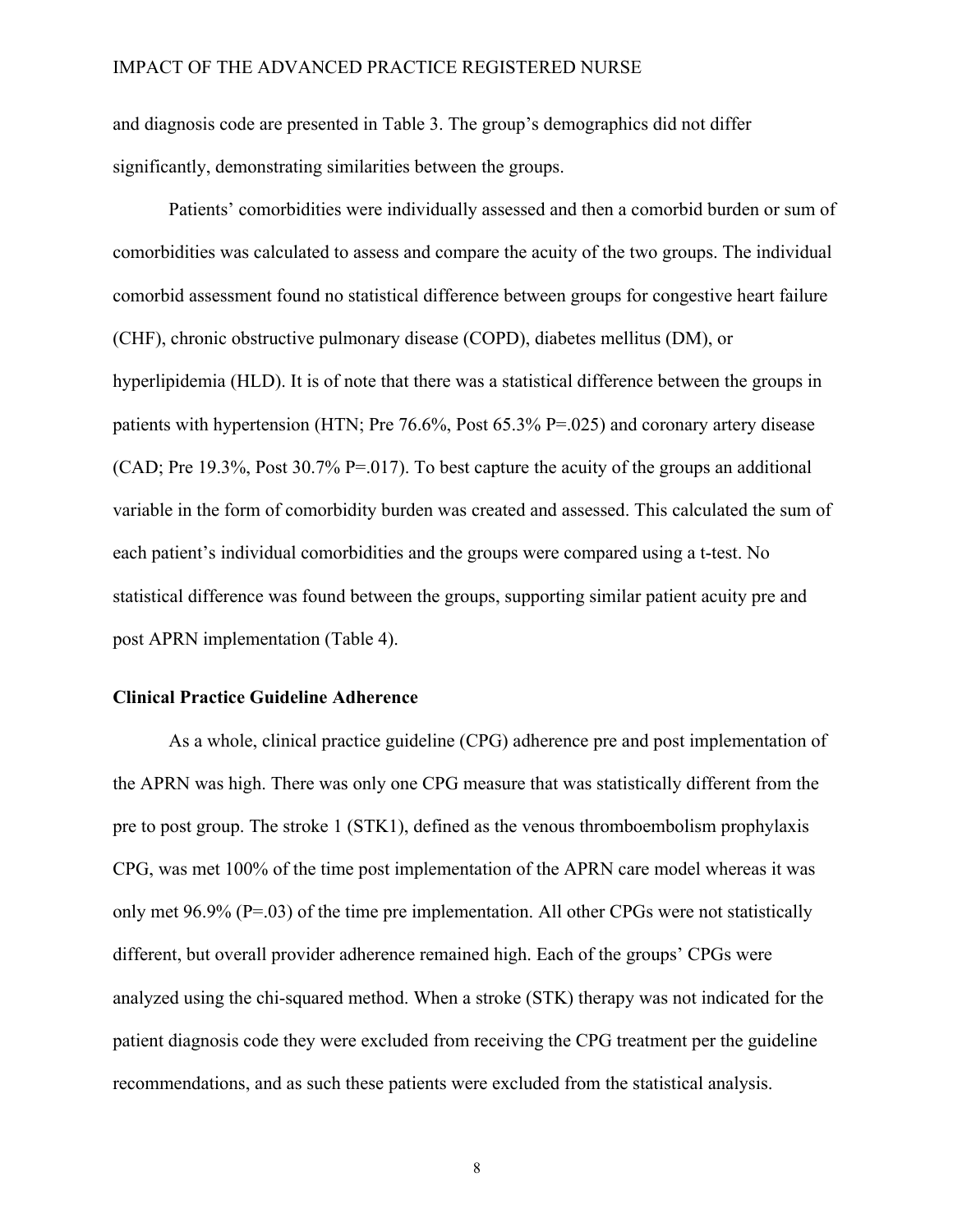and diagnosis code are presented in Table 3. The group's demographics did not differ significantly, demonstrating similarities between the groups.

Patients' comorbidities were individually assessed and then a comorbid burden or sum of comorbidities was calculated to assess and compare the acuity of the two groups. The individual comorbid assessment found no statistical difference between groups for congestive heart failure (CHF), chronic obstructive pulmonary disease (COPD), diabetes mellitus (DM), or hyperlipidemia (HLD). It is of note that there was a statistical difference between the groups in patients with hypertension (HTN; Pre  $76.6\%$ , Post  $65.3\%$  P=.025) and coronary artery disease (CAD; Pre 19.3%, Post 30.7% P=.017). To best capture the acuity of the groups an additional variable in the form of comorbidity burden was created and assessed. This calculated the sum of each patient's individual comorbidities and the groups were compared using a t-test. No statistical difference was found between the groups, supporting similar patient acuity pre and post APRN implementation (Table 4).

#### **Clinical Practice Guideline Adherence**

As a whole, clinical practice guideline (CPG) adherence pre and post implementation of the APRN was high. There was only one CPG measure that was statistically different from the pre to post group. The stroke 1 (STK1), defined as the venous thromboembolism prophylaxis CPG, was met 100% of the time post implementation of the APRN care model whereas it was only met  $96.9\%$  (P=.03) of the time pre implementation. All other CPGs were not statistically different, but overall provider adherence remained high. Each of the groups' CPGs were analyzed using the chi-squared method. When a stroke (STK) therapy was not indicated for the patient diagnosis code they were excluded from receiving the CPG treatment per the guideline recommendations, and as such these patients were excluded from the statistical analysis.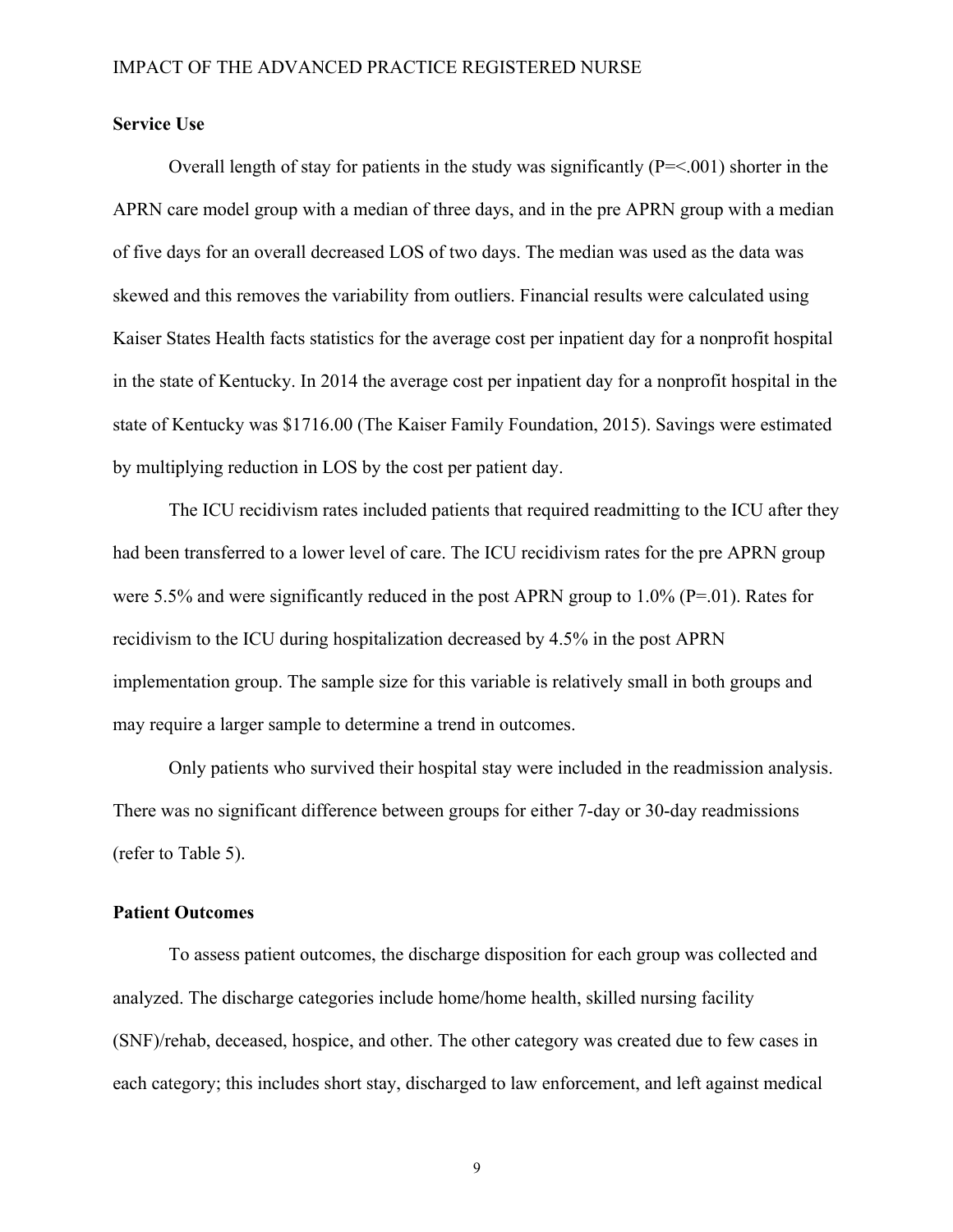#### **Service Use**

Overall length of stay for patients in the study was significantly  $(P=<.001)$  shorter in the APRN care model group with a median of three days, and in the pre APRN group with a median of five days for an overall decreased LOS of two days. The median was used as the data was skewed and this removes the variability from outliers. Financial results were calculated using Kaiser States Health facts statistics for the average cost per inpatient day for a nonprofit hospital in the state of Kentucky. In 2014 the average cost per inpatient day for a nonprofit hospital in the state of Kentucky was \$1716.00 (The Kaiser Family Foundation, 2015). Savings were estimated by multiplying reduction in LOS by the cost per patient day.

The ICU recidivism rates included patients that required readmitting to the ICU after they had been transferred to a lower level of care. The ICU recidivism rates for the pre APRN group were 5.5% and were significantly reduced in the post APRN group to 1.0% (P=.01). Rates for recidivism to the ICU during hospitalization decreased by 4.5% in the post APRN implementation group. The sample size for this variable is relatively small in both groups and may require a larger sample to determine a trend in outcomes.

Only patients who survived their hospital stay were included in the readmission analysis. There was no significant difference between groups for either 7-day or 30-day readmissions (refer to Table 5).

#### **Patient Outcomes**

To assess patient outcomes, the discharge disposition for each group was collected and analyzed. The discharge categories include home/home health, skilled nursing facility (SNF)/rehab, deceased, hospice, and other. The other category was created due to few cases in each category; this includes short stay, discharged to law enforcement, and left against medical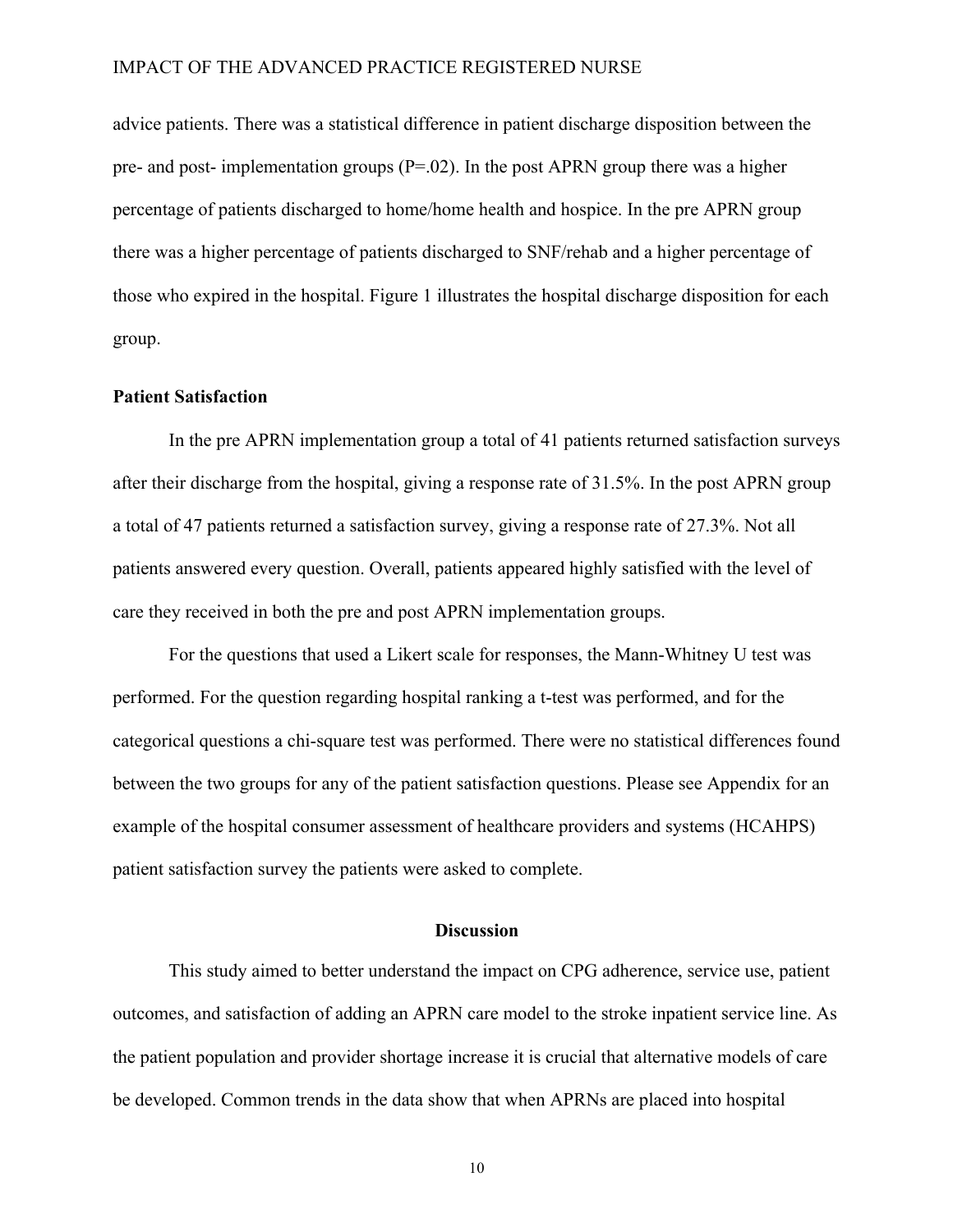advice patients. There was a statistical difference in patient discharge disposition between the pre- and post- implementation groups  $(P=02)$ . In the post APRN group there was a higher percentage of patients discharged to home/home health and hospice. In the pre APRN group there was a higher percentage of patients discharged to SNF/rehab and a higher percentage of those who expired in the hospital. Figure 1 illustrates the hospital discharge disposition for each group.

#### **Patient Satisfaction**

In the pre APRN implementation group a total of 41 patients returned satisfaction surveys after their discharge from the hospital, giving a response rate of 31.5%. In the post APRN group a total of 47 patients returned a satisfaction survey, giving a response rate of 27.3%. Not all patients answered every question. Overall, patients appeared highly satisfied with the level of care they received in both the pre and post APRN implementation groups.

For the questions that used a Likert scale for responses, the Mann-Whitney U test was performed. For the question regarding hospital ranking a t-test was performed, and for the categorical questions a chi-square test was performed. There were no statistical differences found between the two groups for any of the patient satisfaction questions. Please see Appendix for an example of the hospital consumer assessment of healthcare providers and systems (HCAHPS) patient satisfaction survey the patients were asked to complete.

#### **Discussion**

This study aimed to better understand the impact on CPG adherence, service use, patient outcomes, and satisfaction of adding an APRN care model to the stroke inpatient service line. As the patient population and provider shortage increase it is crucial that alternative models of care be developed. Common trends in the data show that when APRNs are placed into hospital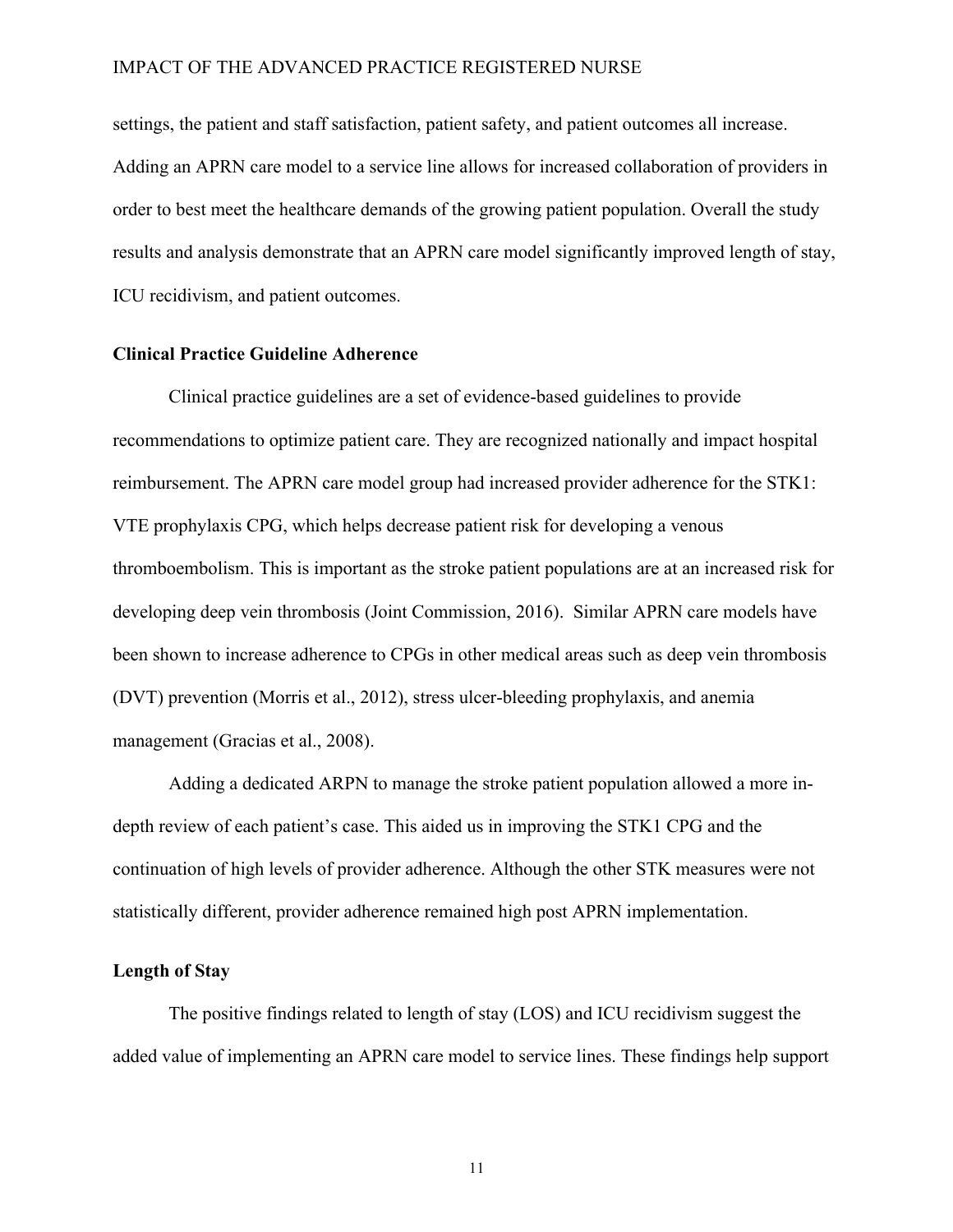settings, the patient and staff satisfaction, patient safety, and patient outcomes all increase. Adding an APRN care model to a service line allows for increased collaboration of providers in order to best meet the healthcare demands of the growing patient population. Overall the study results and analysis demonstrate that an APRN care model significantly improved length of stay, ICU recidivism, and patient outcomes.

#### **Clinical Practice Guideline Adherence**

Clinical practice guidelines are a set of evidence-based guidelines to provide recommendations to optimize patient care. They are recognized nationally and impact hospital reimbursement. The APRN care model group had increased provider adherence for the STK1: VTE prophylaxis CPG, which helps decrease patient risk for developing a venous thromboembolism. This is important as the stroke patient populations are at an increased risk for developing deep vein thrombosis (Joint Commission, 2016). Similar APRN care models have been shown to increase adherence to CPGs in other medical areas such as deep vein thrombosis (DVT) prevention (Morris et al., 2012), stress ulcer-bleeding prophylaxis, and anemia management (Gracias et al., 2008).

Adding a dedicated ARPN to manage the stroke patient population allowed a more indepth review of each patient's case. This aided us in improving the STK1 CPG and the continuation of high levels of provider adherence. Although the other STK measures were not statistically different, provider adherence remained high post APRN implementation.

#### **Length of Stay**

The positive findings related to length of stay (LOS) and ICU recidivism suggest the added value of implementing an APRN care model to service lines. These findings help support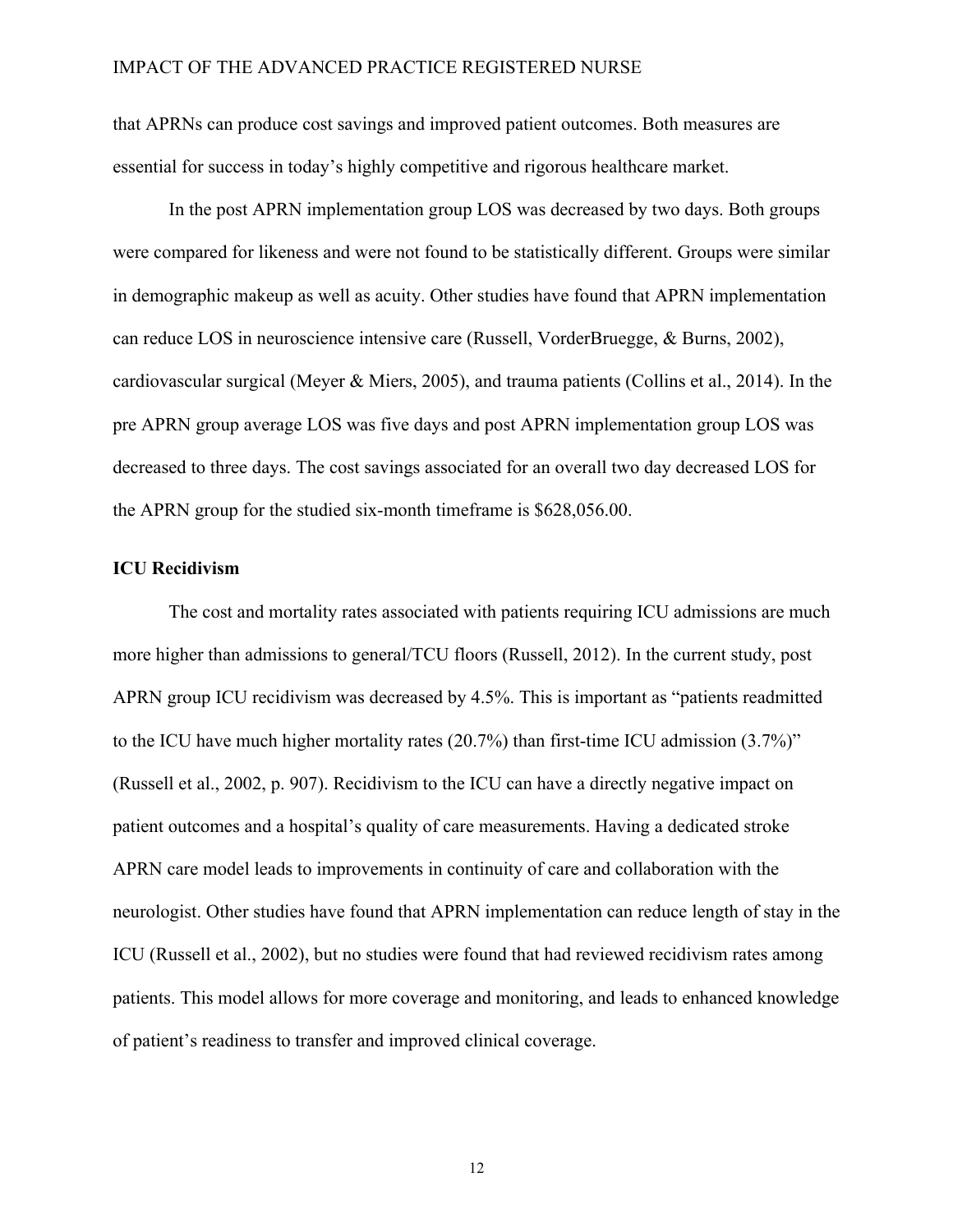that APRNs can produce cost savings and improved patient outcomes. Both measures are essential for success in today's highly competitive and rigorous healthcare market.

In the post APRN implementation group LOS was decreased by two days. Both groups were compared for likeness and were not found to be statistically different. Groups were similar in demographic makeup as well as acuity. Other studies have found that APRN implementation can reduce LOS in neuroscience intensive care (Russell, VorderBruegge, & Burns, 2002), cardiovascular surgical (Meyer & Miers, 2005), and trauma patients (Collins et al., 2014). In the pre APRN group average LOS was five days and post APRN implementation group LOS was decreased to three days. The cost savings associated for an overall two day decreased LOS for the APRN group for the studied six-month timeframe is \$628,056.00.

#### **ICU Recidivism**

The cost and mortality rates associated with patients requiring ICU admissions are much more higher than admissions to general/TCU floors (Russell, 2012). In the current study, post APRN group ICU recidivism was decreased by 4.5%. This is important as "patients readmitted to the ICU have much higher mortality rates (20.7%) than first-time ICU admission (3.7%)" (Russell et al., 2002, p. 907). Recidivism to the ICU can have a directly negative impact on patient outcomes and a hospital's quality of care measurements. Having a dedicated stroke APRN care model leads to improvements in continuity of care and collaboration with the neurologist. Other studies have found that APRN implementation can reduce length of stay in the ICU (Russell et al., 2002), but no studies were found that had reviewed recidivism rates among patients. This model allows for more coverage and monitoring, and leads to enhanced knowledge of patient's readiness to transfer and improved clinical coverage.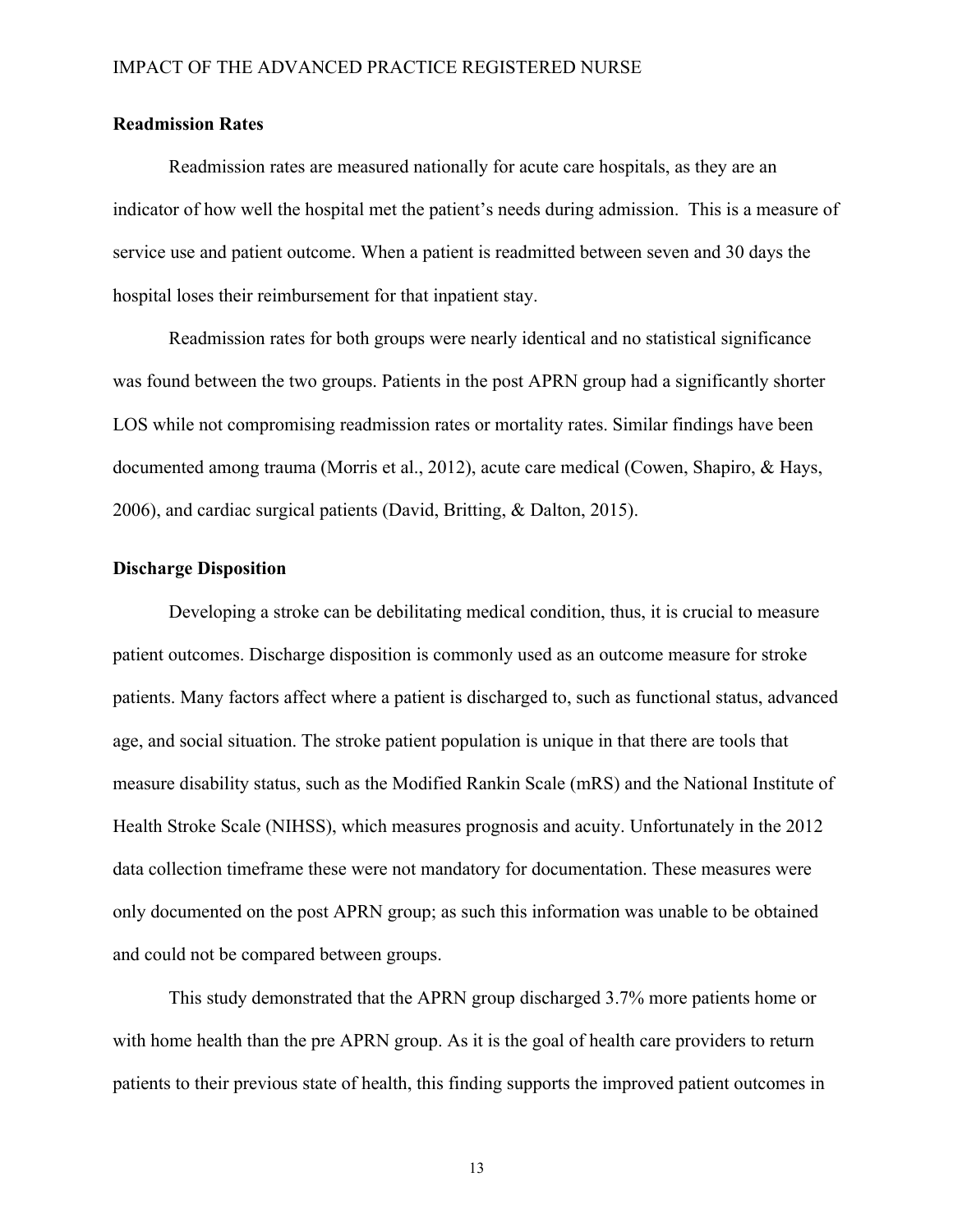#### **Readmission Rates**

Readmission rates are measured nationally for acute care hospitals, as they are an indicator of how well the hospital met the patient's needs during admission. This is a measure of service use and patient outcome. When a patient is readmitted between seven and 30 days the hospital loses their reimbursement for that inpatient stay.

Readmission rates for both groups were nearly identical and no statistical significance was found between the two groups. Patients in the post APRN group had a significantly shorter LOS while not compromising readmission rates or mortality rates. Similar findings have been documented among trauma (Morris et al., 2012), acute care medical (Cowen, Shapiro, & Hays, 2006), and cardiac surgical patients (David, Britting, & Dalton, 2015).

#### **Discharge Disposition**

Developing a stroke can be debilitating medical condition, thus, it is crucial to measure patient outcomes. Discharge disposition is commonly used as an outcome measure for stroke patients. Many factors affect where a patient is discharged to, such as functional status, advanced age, and social situation. The stroke patient population is unique in that there are tools that measure disability status, such as the Modified Rankin Scale (mRS) and the National Institute of Health Stroke Scale (NIHSS), which measures prognosis and acuity. Unfortunately in the 2012 data collection timeframe these were not mandatory for documentation. These measures were only documented on the post APRN group; as such this information was unable to be obtained and could not be compared between groups.

This study demonstrated that the APRN group discharged 3.7% more patients home or with home health than the pre APRN group. As it is the goal of health care providers to return patients to their previous state of health, this finding supports the improved patient outcomes in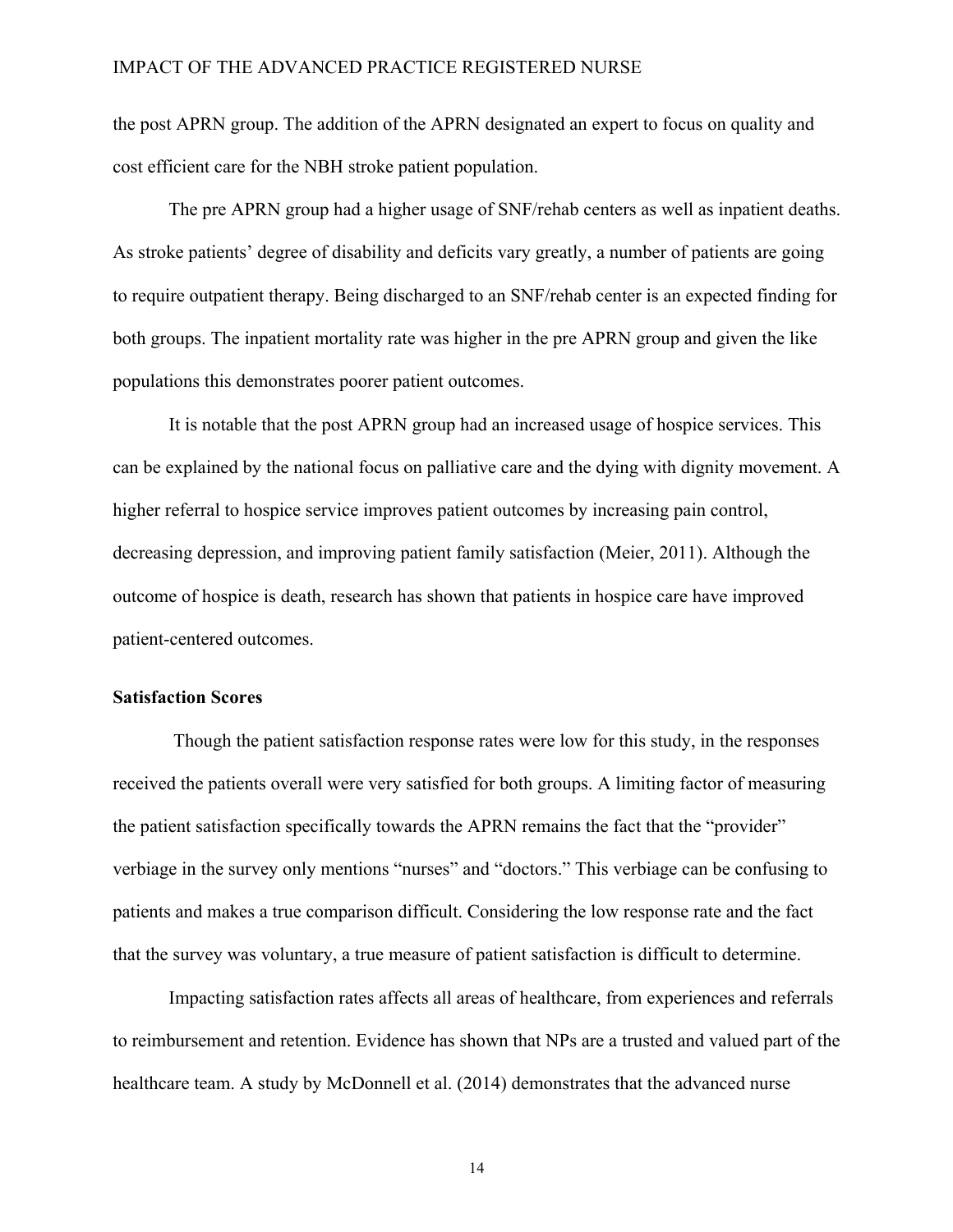the post APRN group. The addition of the APRN designated an expert to focus on quality and cost efficient care for the NBH stroke patient population.

The pre APRN group had a higher usage of SNF/rehab centers as well as inpatient deaths. As stroke patients' degree of disability and deficits vary greatly, a number of patients are going to require outpatient therapy. Being discharged to an SNF/rehab center is an expected finding for both groups. The inpatient mortality rate was higher in the pre APRN group and given the like populations this demonstrates poorer patient outcomes.

It is notable that the post APRN group had an increased usage of hospice services. This can be explained by the national focus on palliative care and the dying with dignity movement. A higher referral to hospice service improves patient outcomes by increasing pain control, decreasing depression, and improving patient family satisfaction (Meier, 2011). Although the outcome of hospice is death, research has shown that patients in hospice care have improved patient-centered outcomes.

#### **Satisfaction Scores**

Though the patient satisfaction response rates were low for this study, in the responses received the patients overall were very satisfied for both groups. A limiting factor of measuring the patient satisfaction specifically towards the APRN remains the fact that the "provider" verbiage in the survey only mentions "nurses" and "doctors." This verbiage can be confusing to patients and makes a true comparison difficult. Considering the low response rate and the fact that the survey was voluntary, a true measure of patient satisfaction is difficult to determine.

Impacting satisfaction rates affects all areas of healthcare, from experiences and referrals to reimbursement and retention. Evidence has shown that NPs are a trusted and valued part of the healthcare team. A study by McDonnell et al. (2014) demonstrates that the advanced nurse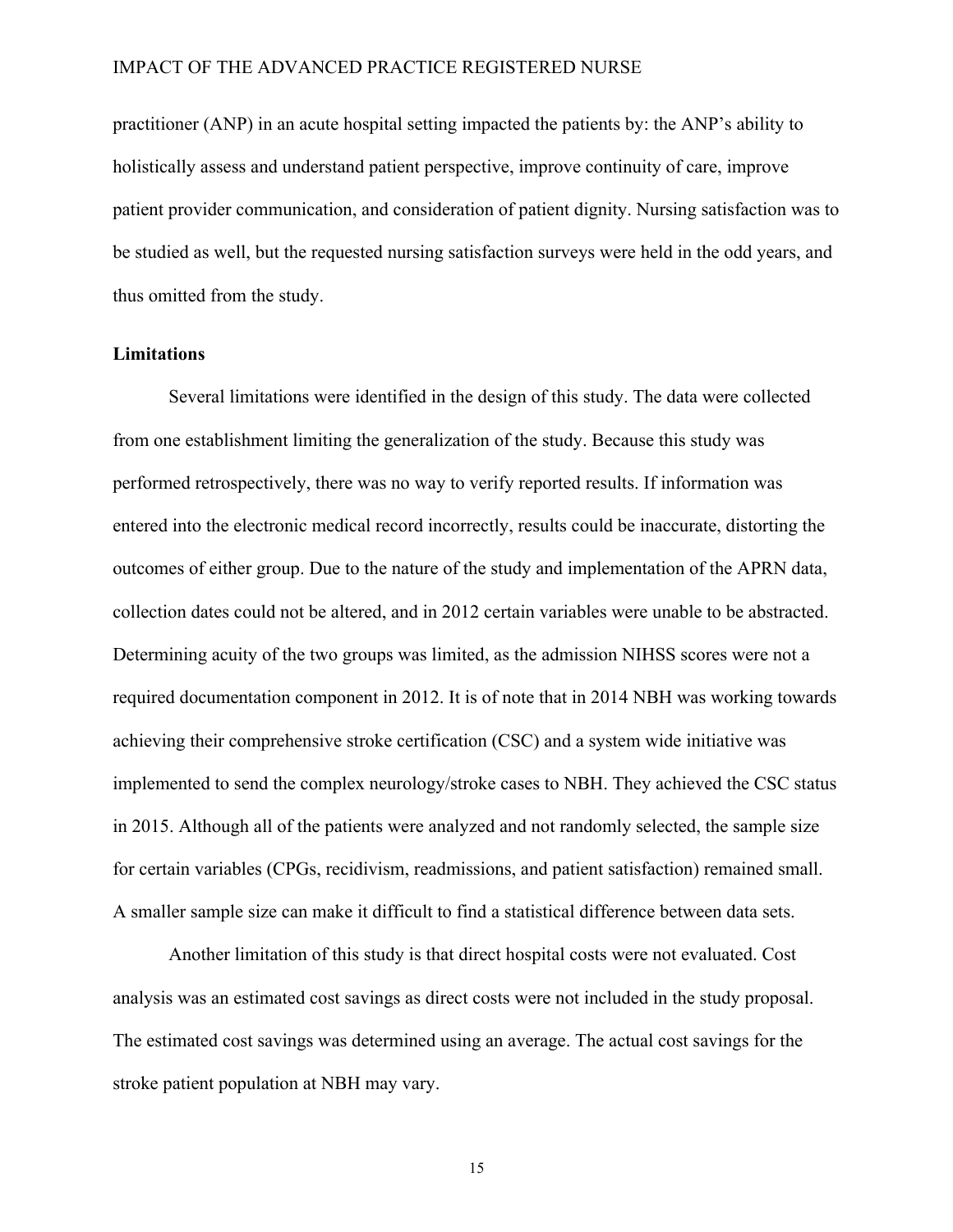practitioner (ANP) in an acute hospital setting impacted the patients by: the ANP's ability to holistically assess and understand patient perspective, improve continuity of care, improve patient provider communication, and consideration of patient dignity. Nursing satisfaction was to be studied as well, but the requested nursing satisfaction surveys were held in the odd years, and thus omitted from the study.

#### **Limitations**

Several limitations were identified in the design of this study. The data were collected from one establishment limiting the generalization of the study. Because this study was performed retrospectively, there was no way to verify reported results. If information was entered into the electronic medical record incorrectly, results could be inaccurate, distorting the outcomes of either group. Due to the nature of the study and implementation of the APRN data, collection dates could not be altered, and in 2012 certain variables were unable to be abstracted. Determining acuity of the two groups was limited, as the admission NIHSS scores were not a required documentation component in 2012. It is of note that in 2014 NBH was working towards achieving their comprehensive stroke certification (CSC) and a system wide initiative was implemented to send the complex neurology/stroke cases to NBH. They achieved the CSC status in 2015. Although all of the patients were analyzed and not randomly selected, the sample size for certain variables (CPGs, recidivism, readmissions, and patient satisfaction) remained small. A smaller sample size can make it difficult to find a statistical difference between data sets.

Another limitation of this study is that direct hospital costs were not evaluated. Cost analysis was an estimated cost savings as direct costs were not included in the study proposal. The estimated cost savings was determined using an average. The actual cost savings for the stroke patient population at NBH may vary.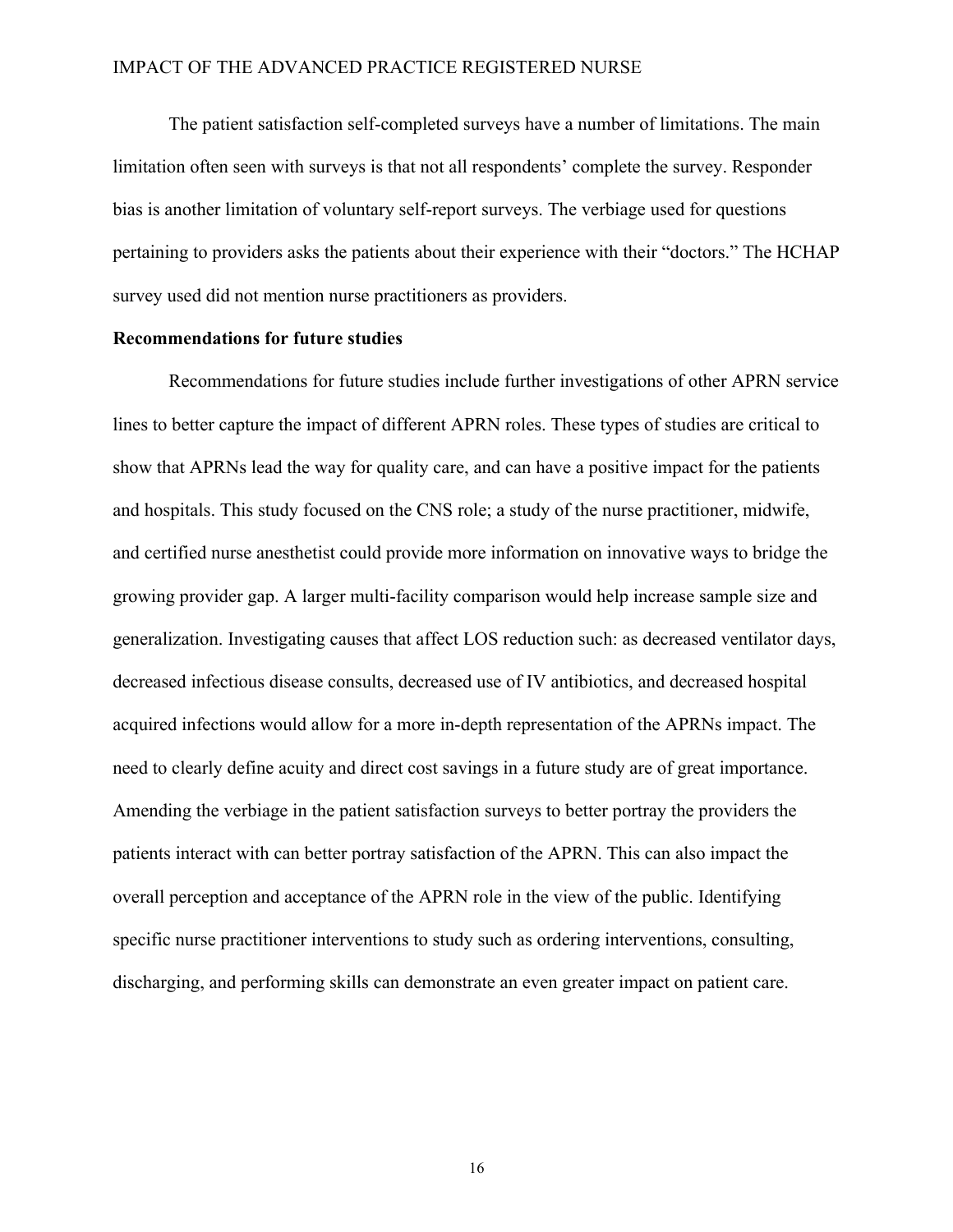The patient satisfaction self-completed surveys have a number of limitations. The main limitation often seen with surveys is that not all respondents' complete the survey. Responder bias is another limitation of voluntary self-report surveys. The verbiage used for questions pertaining to providers asks the patients about their experience with their "doctors." The HCHAP survey used did not mention nurse practitioners as providers.

#### **Recommendations for future studies**

Recommendations for future studies include further investigations of other APRN service lines to better capture the impact of different APRN roles. These types of studies are critical to show that APRNs lead the way for quality care, and can have a positive impact for the patients and hospitals. This study focused on the CNS role; a study of the nurse practitioner, midwife, and certified nurse anesthetist could provide more information on innovative ways to bridge the growing provider gap. A larger multi-facility comparison would help increase sample size and generalization. Investigating causes that affect LOS reduction such: as decreased ventilator days, decreased infectious disease consults, decreased use of IV antibiotics, and decreased hospital acquired infections would allow for a more in-depth representation of the APRNs impact. The need to clearly define acuity and direct cost savings in a future study are of great importance. Amending the verbiage in the patient satisfaction surveys to better portray the providers the patients interact with can better portray satisfaction of the APRN. This can also impact the overall perception and acceptance of the APRN role in the view of the public. Identifying specific nurse practitioner interventions to study such as ordering interventions, consulting, discharging, and performing skills can demonstrate an even greater impact on patient care.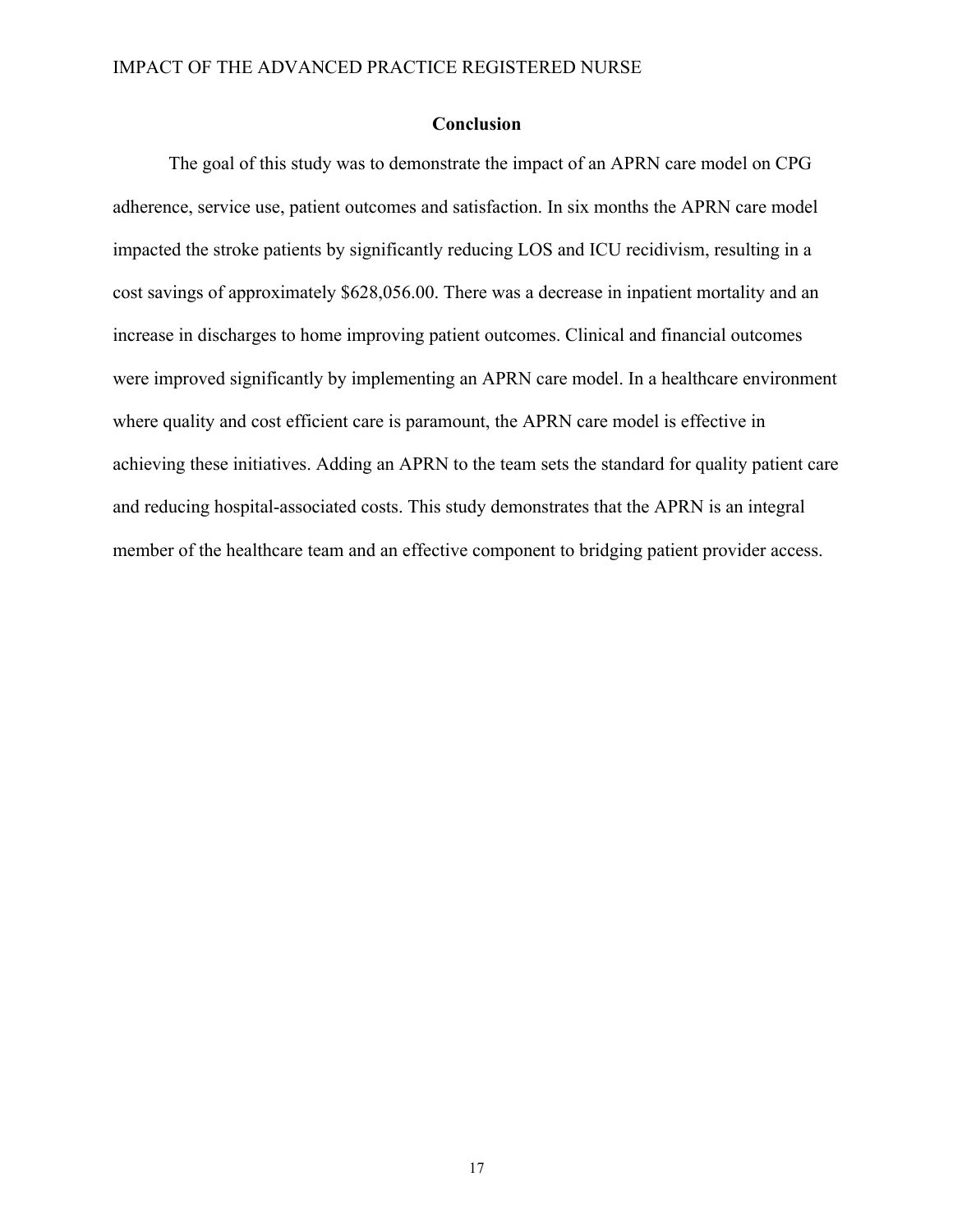#### **Conclusion**

The goal of this study was to demonstrate the impact of an APRN care model on CPG adherence, service use, patient outcomes and satisfaction. In six months the APRN care model impacted the stroke patients by significantly reducing LOS and ICU recidivism, resulting in a cost savings of approximately \$628,056.00. There was a decrease in inpatient mortality and an increase in discharges to home improving patient outcomes. Clinical and financial outcomes were improved significantly by implementing an APRN care model. In a healthcare environment where quality and cost efficient care is paramount, the APRN care model is effective in achieving these initiatives. Adding an APRN to the team sets the standard for quality patient care and reducing hospital-associated costs. This study demonstrates that the APRN is an integral member of the healthcare team and an effective component to bridging patient provider access.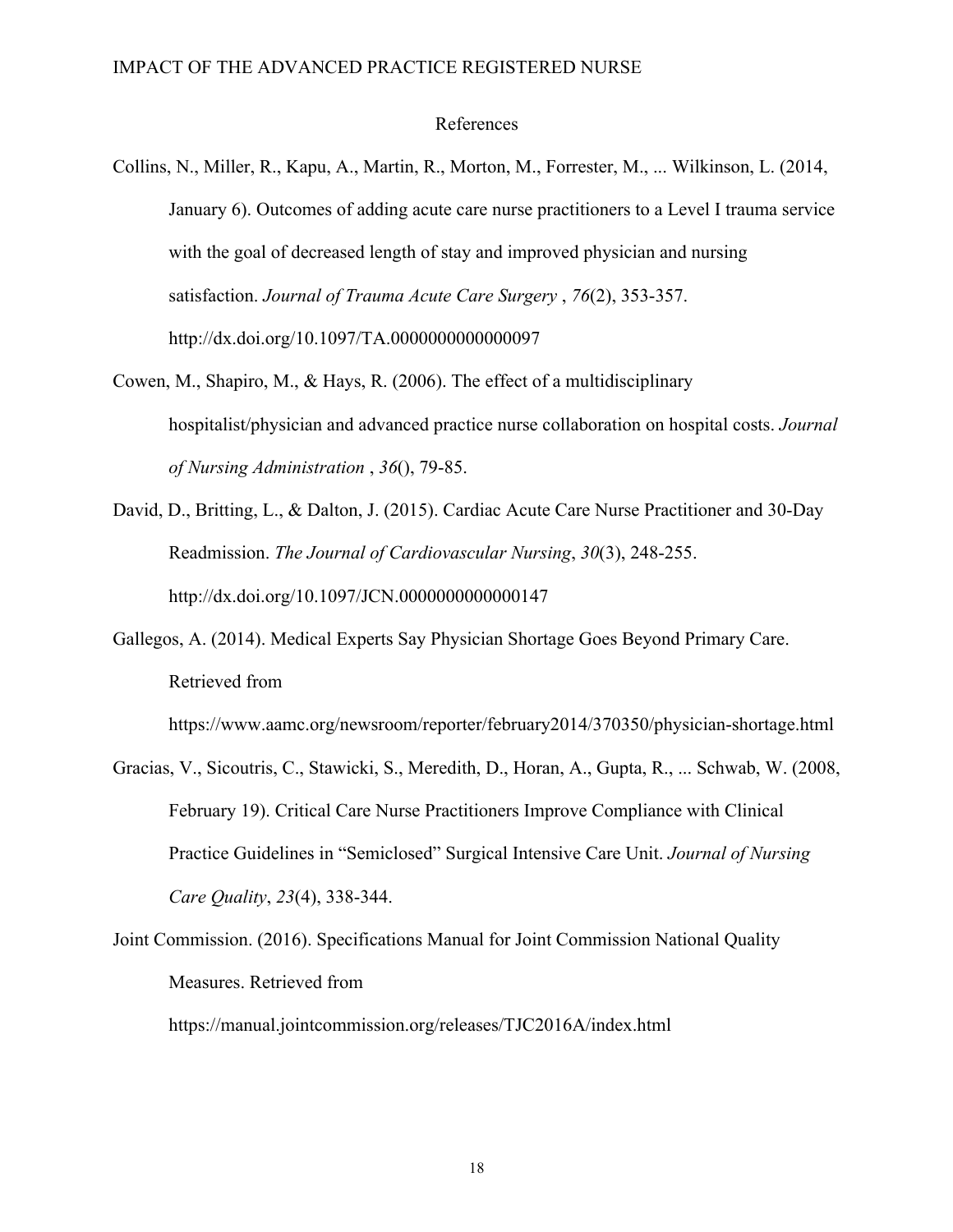#### References

- Collins, N., Miller, R., Kapu, A., Martin, R., Morton, M., Forrester, M., ... Wilkinson, L. (2014, January 6). Outcomes of adding acute care nurse practitioners to a Level I trauma service with the goal of decreased length of stay and improved physician and nursing satisfaction. *Journal of Trauma Acute Care Surgery* , *76*(2), 353-357. http://dx.doi.org/10.1097/TA.0000000000000097
- Cowen, M., Shapiro, M., & Hays, R. (2006). The effect of a multidisciplinary hospitalist/physician and advanced practice nurse collaboration on hospital costs. *Journal of Nursing Administration* , *36*(), 79-85.
- David, D., Britting, L., & Dalton, J. (2015). Cardiac Acute Care Nurse Practitioner and 30-Day Readmission. *The Journal of Cardiovascular Nursing*, *30*(3), 248-255. http://dx.doi.org/10.1097/JCN.0000000000000147
- Gallegos, A. (2014). Medical Experts Say Physician Shortage Goes Beyond Primary Care. Retrieved from

https://www.aamc.org/newsroom/reporter/february2014/370350/physician-shortage.html

- Gracias, V., Sicoutris, C., Stawicki, S., Meredith, D., Horan, A., Gupta, R., ... Schwab, W. (2008, February 19). Critical Care Nurse Practitioners Improve Compliance with Clinical Practice Guidelines in "Semiclosed" Surgical Intensive Care Unit. *Journal of Nursing Care Quality*, *23*(4), 338-344.
- Joint Commission. (2016). Specifications Manual for Joint Commission National Quality Measures. Retrieved from

https://manual.jointcommission.org/releases/TJC2016A/index.html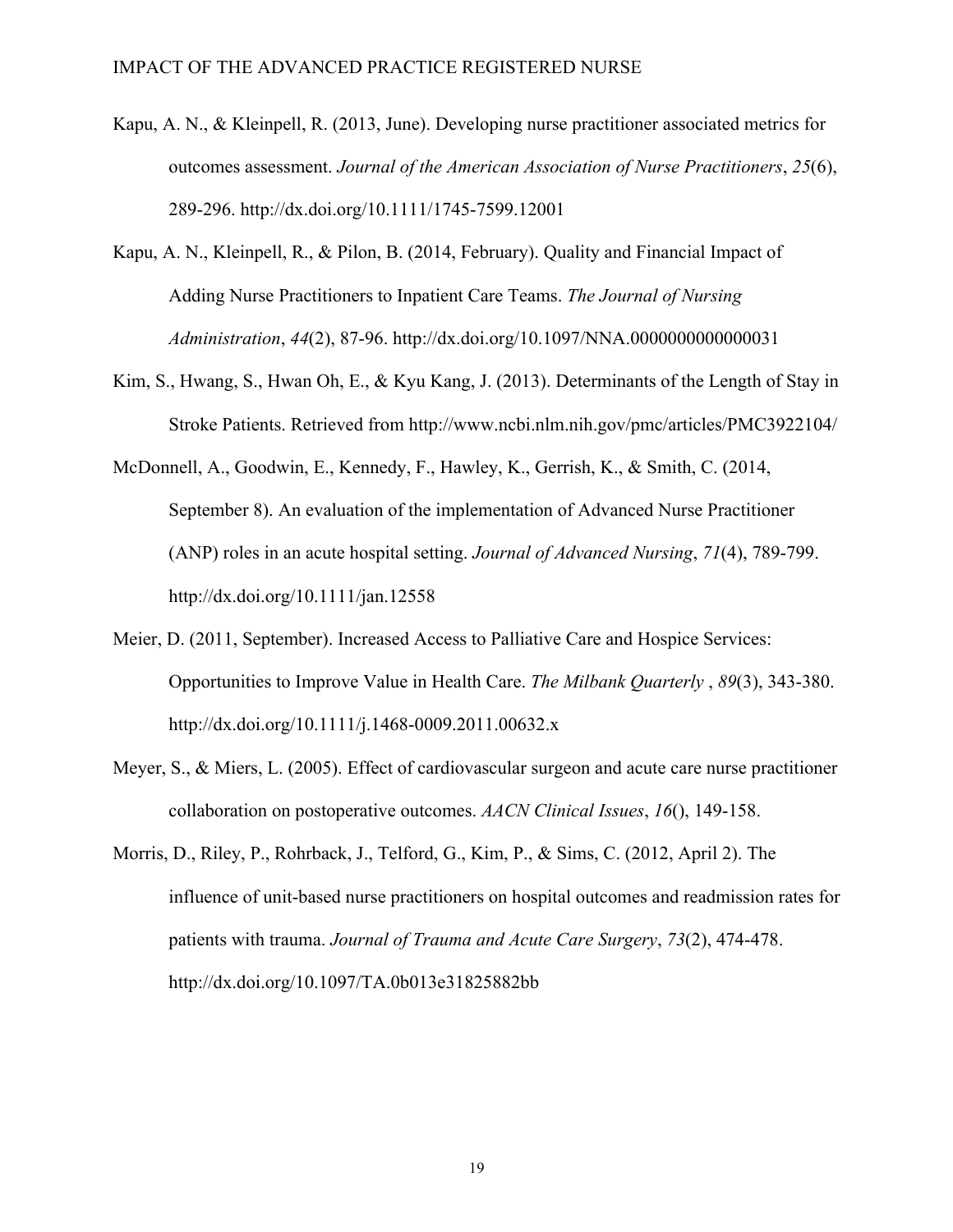- Kapu, A. N., & Kleinpell, R. (2013, June). Developing nurse practitioner associated metrics for outcomes assessment. *Journal of the American Association of Nurse Practitioners*, *25*(6), 289-296. http://dx.doi.org/10.1111/1745-7599.12001
- Kapu, A. N., Kleinpell, R., & Pilon, B. (2014, February). Quality and Financial Impact of Adding Nurse Practitioners to Inpatient Care Teams. *The Journal of Nursing Administration*, *44*(2), 87-96. http://dx.doi.org/10.1097/NNA.0000000000000031
- Kim, S., Hwang, S., Hwan Oh, E., & Kyu Kang, J. (2013). Determinants of the Length of Stay in Stroke Patients. Retrieved from http://www.ncbi.nlm.nih.gov/pmc/articles/PMC3922104/
- McDonnell, A., Goodwin, E., Kennedy, F., Hawley, K., Gerrish, K., & Smith, C. (2014, September 8). An evaluation of the implementation of Advanced Nurse Practitioner (ANP) roles in an acute hospital setting. *Journal of Advanced Nursing*, *71*(4), 789-799. http://dx.doi.org/10.1111/jan.12558
- Meier, D. (2011, September). Increased Access to Palliative Care and Hospice Services: Opportunities to Improve Value in Health Care. *The Milbank Quarterly* , *89*(3), 343-380. http://dx.doi.org/10.1111/j.1468-0009.2011.00632.x
- Meyer, S., & Miers, L. (2005). Effect of cardiovascular surgeon and acute care nurse practitioner collaboration on postoperative outcomes. *AACN Clinical Issues*, *16*(), 149-158.
- Morris, D., Riley, P., Rohrback, J., Telford, G., Kim, P., & Sims, C. (2012, April 2). The influence of unit-based nurse practitioners on hospital outcomes and readmission rates for patients with trauma. *Journal of Trauma and Acute Care Surgery*, *73*(2), 474-478. http://dx.doi.org/10.1097/TA.0b013e31825882bb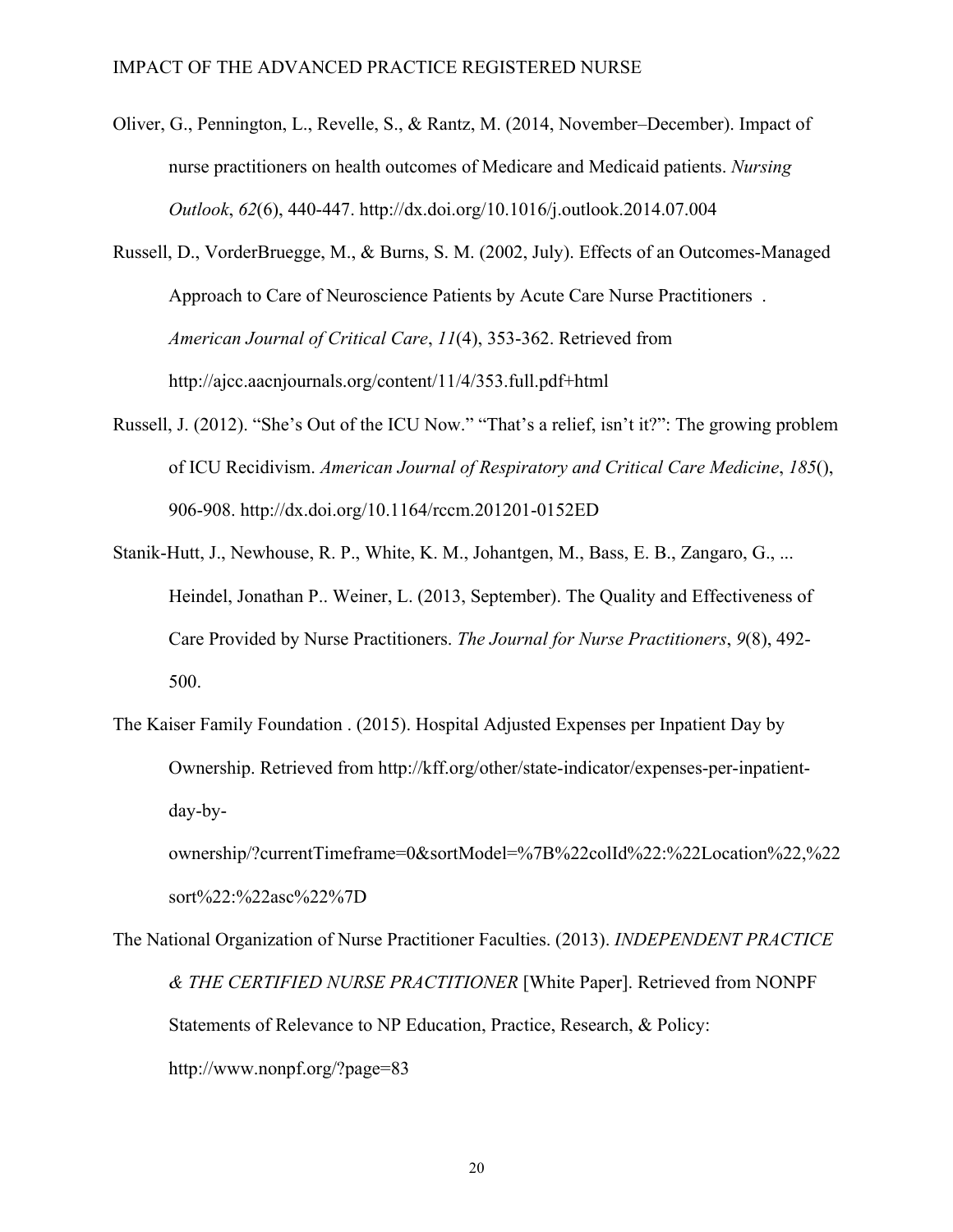- Oliver, G., Pennington, L., Revelle, S., & Rantz, M. (2014, November–December). Impact of nurse practitioners on health outcomes of Medicare and Medicaid patients. *Nursing Outlook*, *62*(6), 440-447. http://dx.doi.org/10.1016/j.outlook.2014.07.004
- Russell, D., VorderBruegge, M., & Burns, S. M. (2002, July). Effects of an Outcomes-Managed Approach to Care of Neuroscience Patients by Acute Care Nurse Practitioners . *American Journal of Critical Care*, *11*(4), 353-362. Retrieved from http://ajcc.aacnjournals.org/content/11/4/353.full.pdf+html
- Russell, J. (2012). "She's Out of the ICU Now." "That's a relief, isn't it?": The growing problem of ICU Recidivism. *American Journal of Respiratory and Critical Care Medicine*, *185*(), 906-908. http://dx.doi.org/10.1164/rccm.201201-0152ED
- Stanik-Hutt, J., Newhouse, R. P., White, K. M., Johantgen, M., Bass, E. B., Zangaro, G., ... Heindel, Jonathan P.. Weiner, L. (2013, September). The Quality and Effectiveness of Care Provided by Nurse Practitioners. *The Journal for Nurse Practitioners*, *9*(8), 492- 500.
- The Kaiser Family Foundation . (2015). Hospital Adjusted Expenses per Inpatient Day by Ownership. Retrieved from http://kff.org/other/state-indicator/expenses-per-inpatientday-by-

ownership/?currentTimeframe=0&sortModel=%7B%22colId%22:%22Location%22,%22 sort%22:%22asc%22%7D

The National Organization of Nurse Practitioner Faculties. (2013). *INDEPENDENT PRACTICE & THE CERTIFIED NURSE PRACTITIONER* [White Paper]. Retrieved from NONPF Statements of Relevance to NP Education, Practice, Research, & Policy: http://www.nonpf.org/?page=83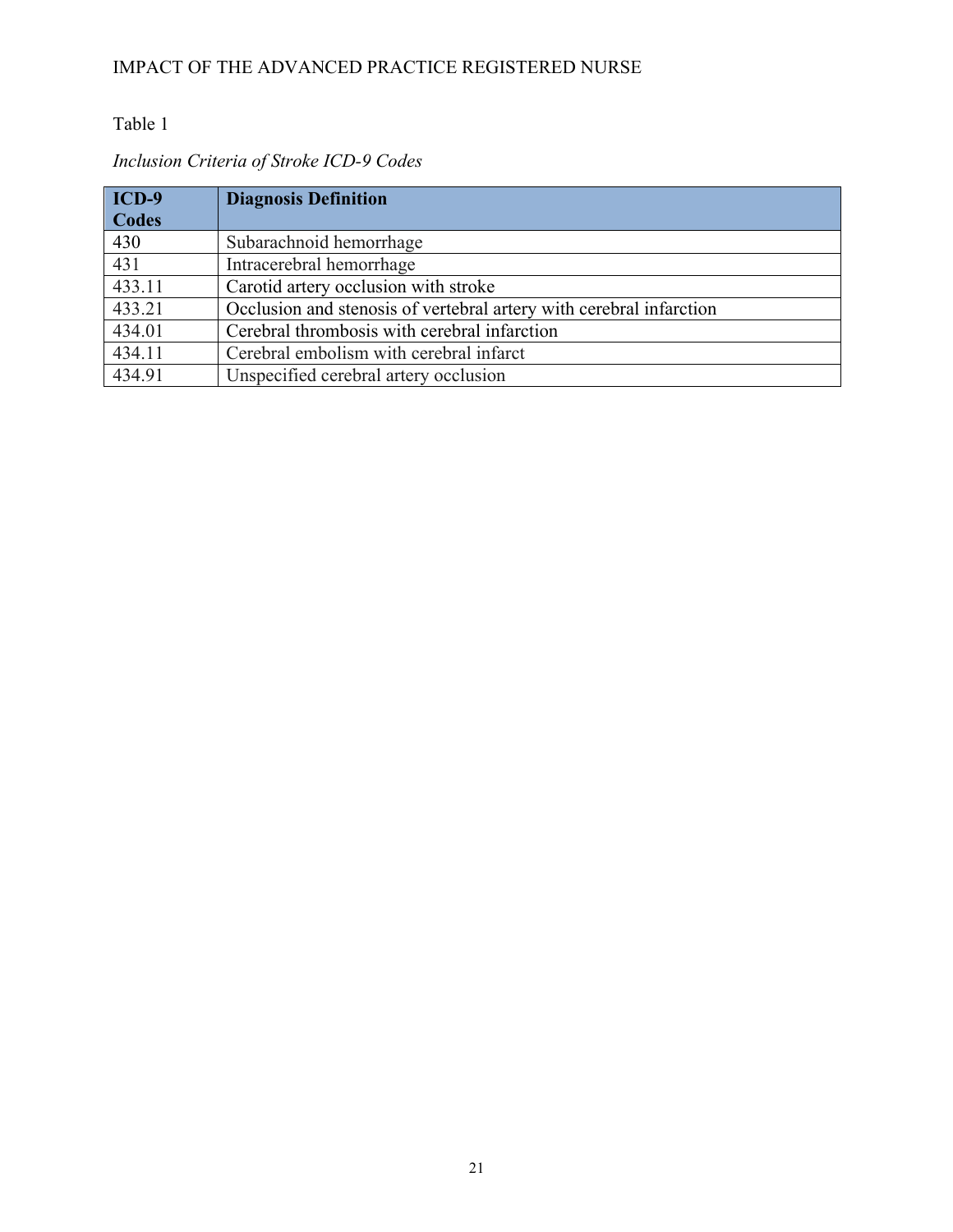### Table 1

### *Inclusion Criteria of Stroke ICD-9 Codes*

| $ICD-9$      | <b>Diagnosis Definition</b>                                         |
|--------------|---------------------------------------------------------------------|
| <b>Codes</b> |                                                                     |
| 430          | Subarachnoid hemorrhage                                             |
| 431          | Intracerebral hemorrhage                                            |
| 433.11       | Carotid artery occlusion with stroke                                |
| 433.21       | Occlusion and stenosis of vertebral artery with cerebral infarction |
| 434.01       | Cerebral thrombosis with cerebral infarction                        |
| 434.11       | Cerebral embolism with cerebral infarct                             |
| 434.91       | Unspecified cerebral artery occlusion                               |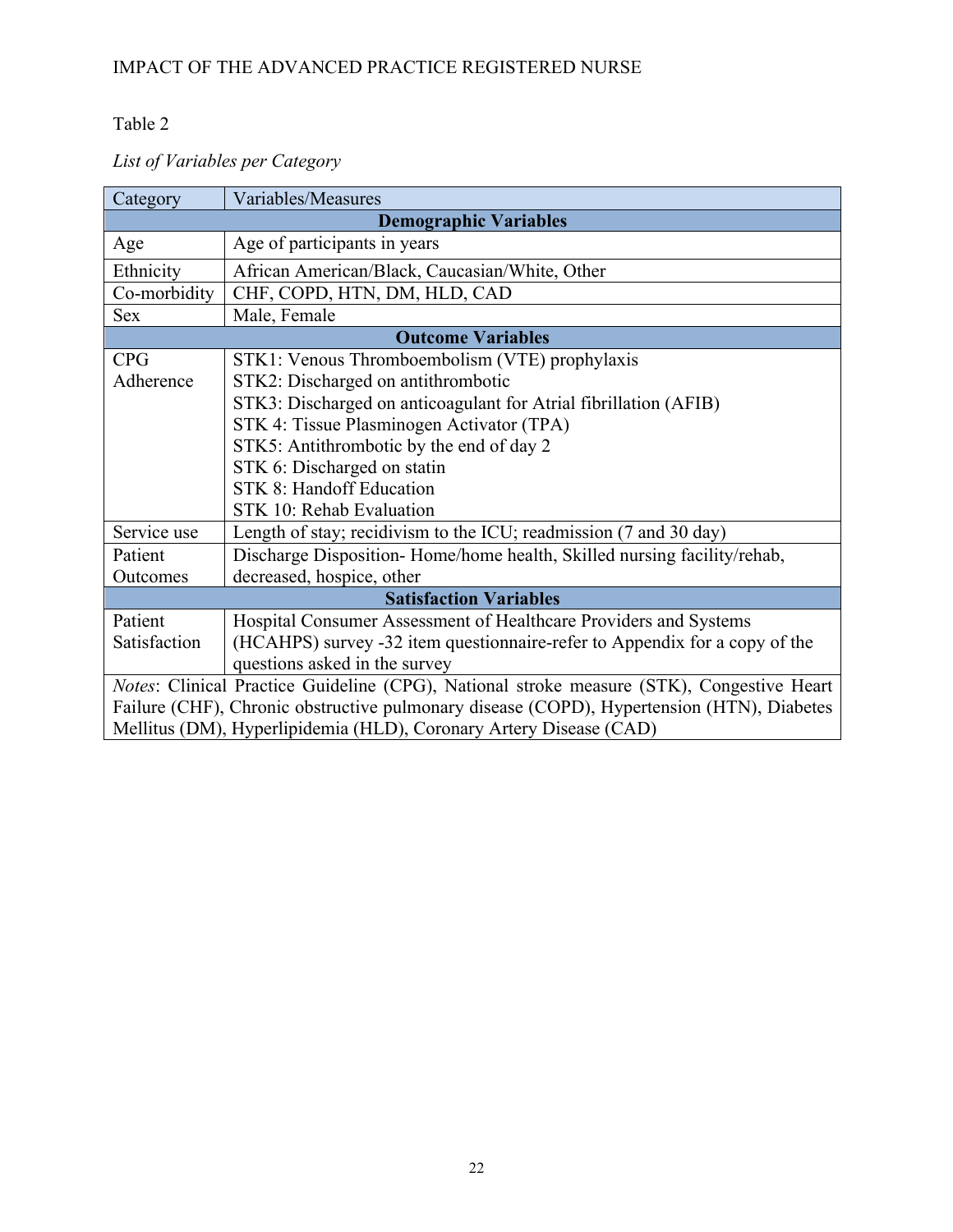### Table 2

# *List of Variables per Category*

| Category     | Variables/Measures                                                                        |
|--------------|-------------------------------------------------------------------------------------------|
|              | <b>Demographic Variables</b>                                                              |
| Age          | Age of participants in years                                                              |
| Ethnicity    | African American/Black, Caucasian/White, Other                                            |
| Co-morbidity | CHF, COPD, HTN, DM, HLD, CAD                                                              |
| <b>Sex</b>   | Male, Female                                                                              |
|              | <b>Outcome Variables</b>                                                                  |
| <b>CPG</b>   | STK1: Venous Thromboembolism (VTE) prophylaxis                                            |
| Adherence    | STK2: Discharged on antithrombotic                                                        |
|              | STK3: Discharged on anticoagulant for Atrial fibrillation (AFIB)                          |
|              | STK 4: Tissue Plasminogen Activator (TPA)                                                 |
|              | STK5: Antithrombotic by the end of day 2                                                  |
|              | STK 6: Discharged on statin                                                               |
|              | <b>STK 8: Handoff Education</b>                                                           |
|              | STK 10: Rehab Evaluation                                                                  |
| Service use  | Length of stay; recidivism to the ICU; readmission (7 and 30 day)                         |
| Patient      | Discharge Disposition-Home/home health, Skilled nursing facility/rehab,                   |
| Outcomes     | decreased, hospice, other                                                                 |
|              | <b>Satisfaction Variables</b>                                                             |
| Patient      | Hospital Consumer Assessment of Healthcare Providers and Systems                          |
| Satisfaction | (HCAHPS) survey -32 item questionnaire-refer to Appendix for a copy of the                |
|              | questions asked in the survey                                                             |
|              | Notes: Clinical Practice Guideline (CPG), National stroke measure (STK), Congestive Heart |
|              | Failure (CHF), Chronic obstructive pulmonary disease (COPD), Hypertension (HTN), Diabetes |
|              | Mellitus (DM), Hyperlipidemia (HLD), Coronary Artery Disease (CAD)                        |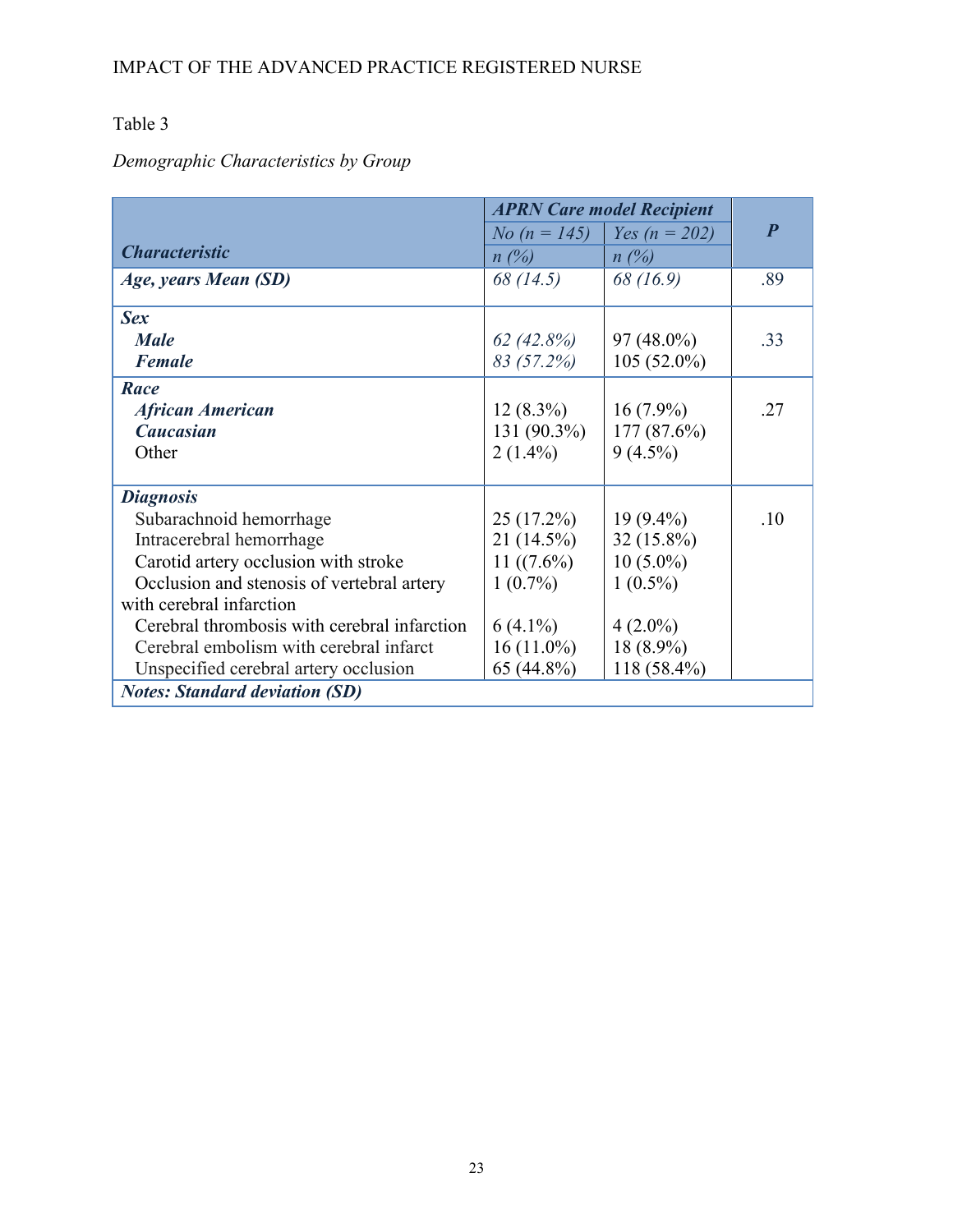### Table 3

# *Demographic Characteristics by Group*

|                                              |                     | <b>APRN Care model Recipient</b> |                  |
|----------------------------------------------|---------------------|----------------------------------|------------------|
|                                              | <i>No (n = 145)</i> | <i>Yes (n = 202)</i>             | $\boldsymbol{P}$ |
| <b>Characteristic</b>                        | $n(\%)$             | $n(\%)$                          |                  |
| Age, years Mean (SD)                         | 68 (14.5)           | 68 (16.9)                        | .89              |
| <b>Sex</b>                                   |                     |                                  |                  |
| <b>Male</b>                                  | 62(42.8%)           | 97 (48.0%)                       | .33              |
| <b>Female</b>                                | 83 (57.2%)          | $105(52.0\%)$                    |                  |
| Race                                         |                     |                                  |                  |
| <b>African American</b>                      | $12(8.3\%)$         | $16(7.9\%)$                      | .27              |
| <b>Caucasian</b>                             | 131 (90.3%)         | $177(87.6\%)$                    |                  |
| Other                                        | $2(1.4\%)$          | $9(4.5\%)$                       |                  |
|                                              |                     |                                  |                  |
| <b>Diagnosis</b>                             |                     |                                  |                  |
| Subarachnoid hemorrhage                      | 25(17.2%)           | $19(9.4\%)$                      | .10              |
| Intracerebral hemorrhage                     | 21 (14.5%)          | 32 (15.8%)                       |                  |
| Carotid artery occlusion with stroke         | 11 $((7.6\%)$       | $10(5.0\%)$                      |                  |
| Occlusion and stenosis of vertebral artery   | $1(0.7\%)$          | $1(0.5\%)$                       |                  |
| with cerebral infarction                     |                     |                                  |                  |
| Cerebral thrombosis with cerebral infarction | $6(4.1\%)$          | $4(2.0\%)$                       |                  |
| Cerebral embolism with cerebral infarct      | $16(11.0\%)$        | 18 (8.9%)                        |                  |
| Unspecified cerebral artery occlusion        | 65 (44.8%)          | 118 (58.4%)                      |                  |
| <b>Notes: Standard deviation (SD)</b>        |                     |                                  |                  |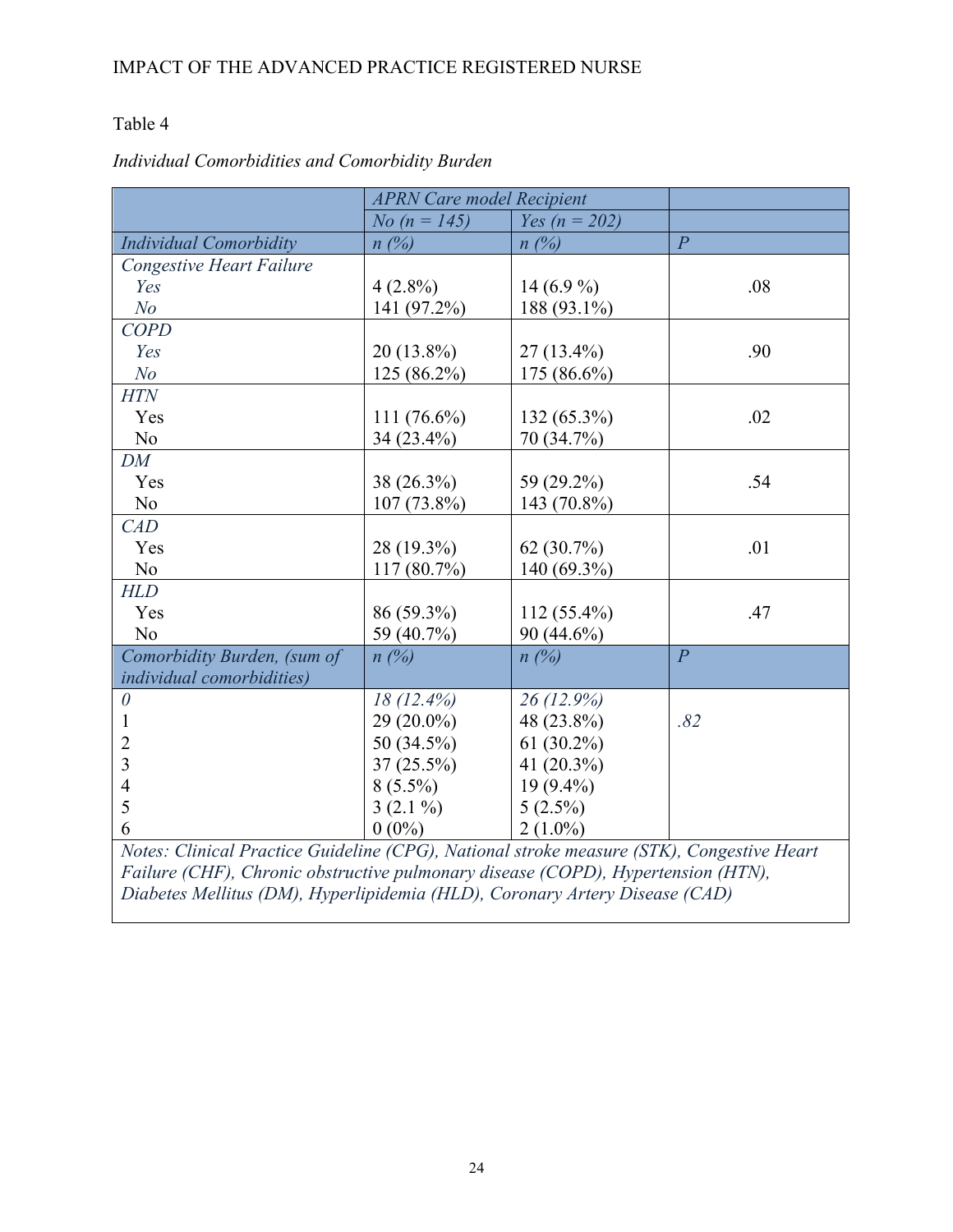### Table 4

|                                                                                           | <b>APRN Care model Recipient</b> |                                              |                |
|-------------------------------------------------------------------------------------------|----------------------------------|----------------------------------------------|----------------|
|                                                                                           | No $(n = 145)$                   | Yes ( $n = 202$ )                            |                |
| <b>Individual Comorbidity</b>                                                             | n(%)                             | $n(\%)$                                      | $\overline{P}$ |
| <b>Congestive Heart Failure</b>                                                           |                                  |                                              |                |
| Yes                                                                                       | $4(2.8\%)$                       | 14 $(6.9\%$                                  | .08            |
| N <sub>O</sub>                                                                            | 141 (97.2%)                      | 188 (93.1%)                                  |                |
| <b>COPD</b>                                                                               |                                  |                                              |                |
| Yes                                                                                       | $20(13.8\%)$                     | $27(13.4\%)$                                 | .90            |
| N <sub>o</sub>                                                                            | 125 (86.2%)                      | 175 (86.6%)                                  |                |
| <b>HTN</b>                                                                                |                                  |                                              |                |
| Yes                                                                                       | 111 $(76.6\%)$                   | 132 (65.3%)                                  | .02            |
| No                                                                                        | 34 (23.4%)                       | 70 (34.7%)                                   |                |
| DM                                                                                        |                                  |                                              |                |
| Yes                                                                                       | 38 (26.3%)                       | 59 (29.2%)                                   | .54            |
| No                                                                                        | $107(73.8\%)$                    | 143 (70.8%)                                  |                |
| CAD                                                                                       |                                  |                                              |                |
| Yes                                                                                       | 28 (19.3%)                       | 62 (30.7%)                                   | .01            |
| N <sub>o</sub>                                                                            | 117 (80.7%)                      | 140 (69.3%)                                  |                |
| <b>HLD</b>                                                                                |                                  |                                              |                |
| Yes                                                                                       | 86 (59.3%)                       | $112(55.4\%)$                                | .47            |
| N <sub>o</sub>                                                                            | 59 (40.7%)                       | 90 (44.6%)                                   |                |
| Comorbidity Burden, (sum of                                                               | n(%)                             | n(%)                                         | $\overline{P}$ |
| individual comorbidities)                                                                 |                                  |                                              |                |
| $\theta$                                                                                  | $18(12.4\%)$                     | $26(12.9\%)$                                 |                |
| 1                                                                                         | 29 (20.0%)                       | 48 (23.8%)                                   | .82            |
| $\overline{2}$                                                                            | 50 (34.5%)                       | $61(30.2\%)$                                 |                |
| 3                                                                                         | $37(25.5\%)$                     | 41 $(20.3\%)$                                |                |
| $\overline{4}$                                                                            | $8(5.5\%)$                       | $19(9.4\%)$                                  |                |
| 5                                                                                         | $3(2.1\%)$                       | $5(2.5\%)$                                   |                |
| 6                                                                                         | $0(0\%)$                         | $2(1.0\%)$                                   |                |
| Notes: Clinical Practice Guideline (CPG), National stroke measure (STK), Congestive Heart |                                  | $\overline{u}$ $\overline{u}$ $\overline{u}$ |                |

### *Individual Comorbidities and Comorbidity Burden*

*Failure (CHF), Chronic obstructive pulmonary disease (COPD), Hypertension (HTN), Diabetes Mellitus (DM), Hyperlipidemia (HLD), Coronary Artery Disease (CAD)*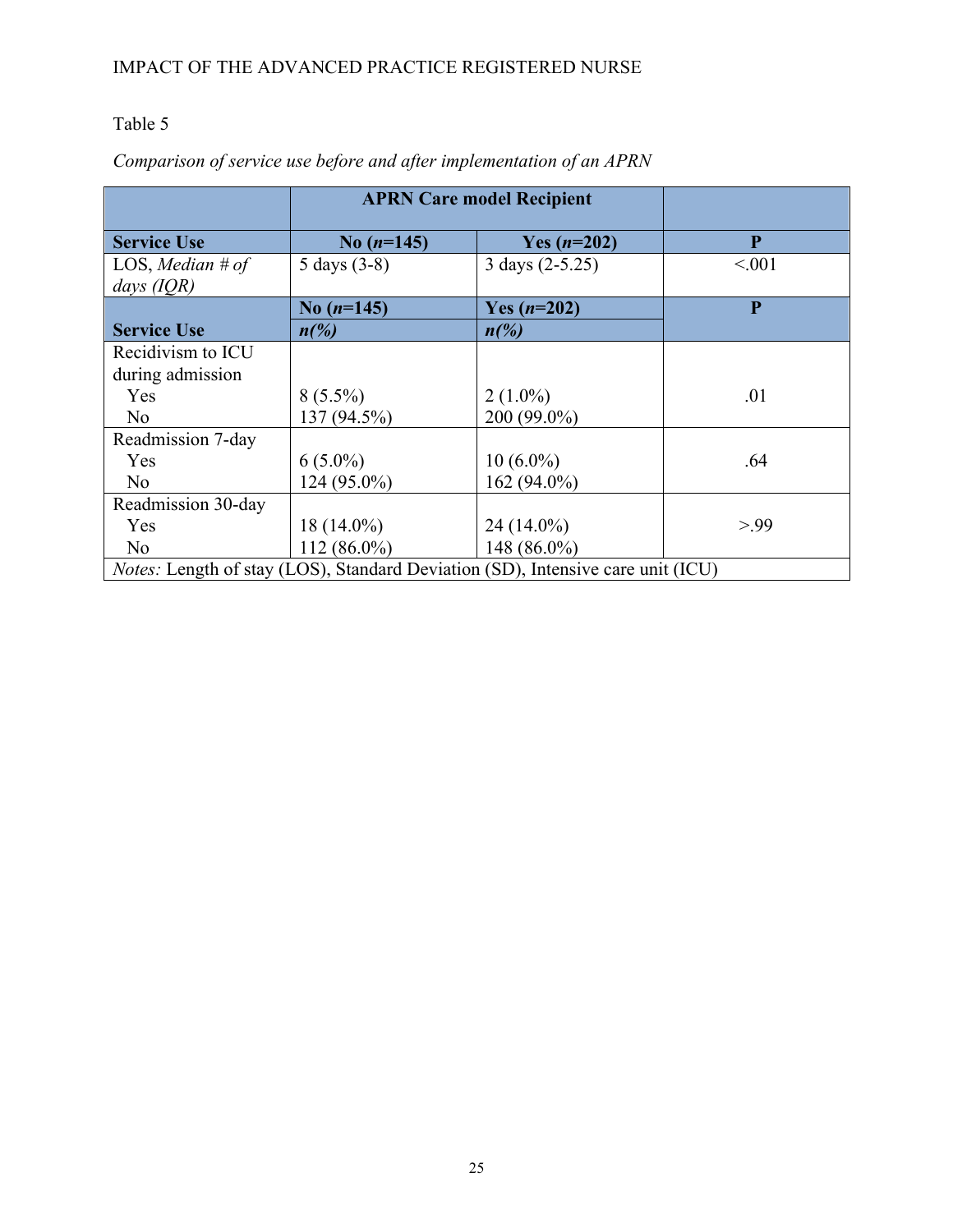# Table 5

|                    |                          | <b>APRN Care model Recipient</b>                                                       |                |
|--------------------|--------------------------|----------------------------------------------------------------------------------------|----------------|
| <b>Service Use</b> | No $(n=145)$             | Yes $(n=202)$                                                                          | P              |
| LOS, Median # of   | 5 days $(3-8)$           | 3 days (2-5.25)                                                                        | < 0.01         |
| days $(IQR)$       |                          |                                                                                        |                |
|                    | No $(n=145)$             | Yes $(n=202)$                                                                          | $\overline{P}$ |
| <b>Service Use</b> | $n\frac{\gamma}{\delta}$ | $n\frac{\gamma}{\theta}$                                                               |                |
| Recidivism to ICU  |                          |                                                                                        |                |
| during admission   |                          |                                                                                        |                |
| Yes                | $8(5.5\%)$               | $2(1.0\%)$                                                                             | .01            |
| N <sub>0</sub>     | 137 (94.5%)              | 200 (99.0%)                                                                            |                |
| Readmission 7-day  |                          |                                                                                        |                |
| Yes                | $6(5.0\%)$               | $10(6.0\%)$                                                                            | .64            |
| N <sub>0</sub>     | $124(95.0\%)$            | 162 (94.0%)                                                                            |                |
| Readmission 30-day |                          |                                                                                        |                |
| Yes                | $18(14.0\%)$             | 24 (14.0%)                                                                             | > 99           |
| N <sub>0</sub>     | $112(86.0\%)$            | 148 (86.0%)                                                                            |                |
|                    |                          | <i>Notes:</i> Length of stay (LOS), Standard Deviation (SD), Intensive care unit (ICU) |                |

# *Comparison of service use before and after implementation of an APRN*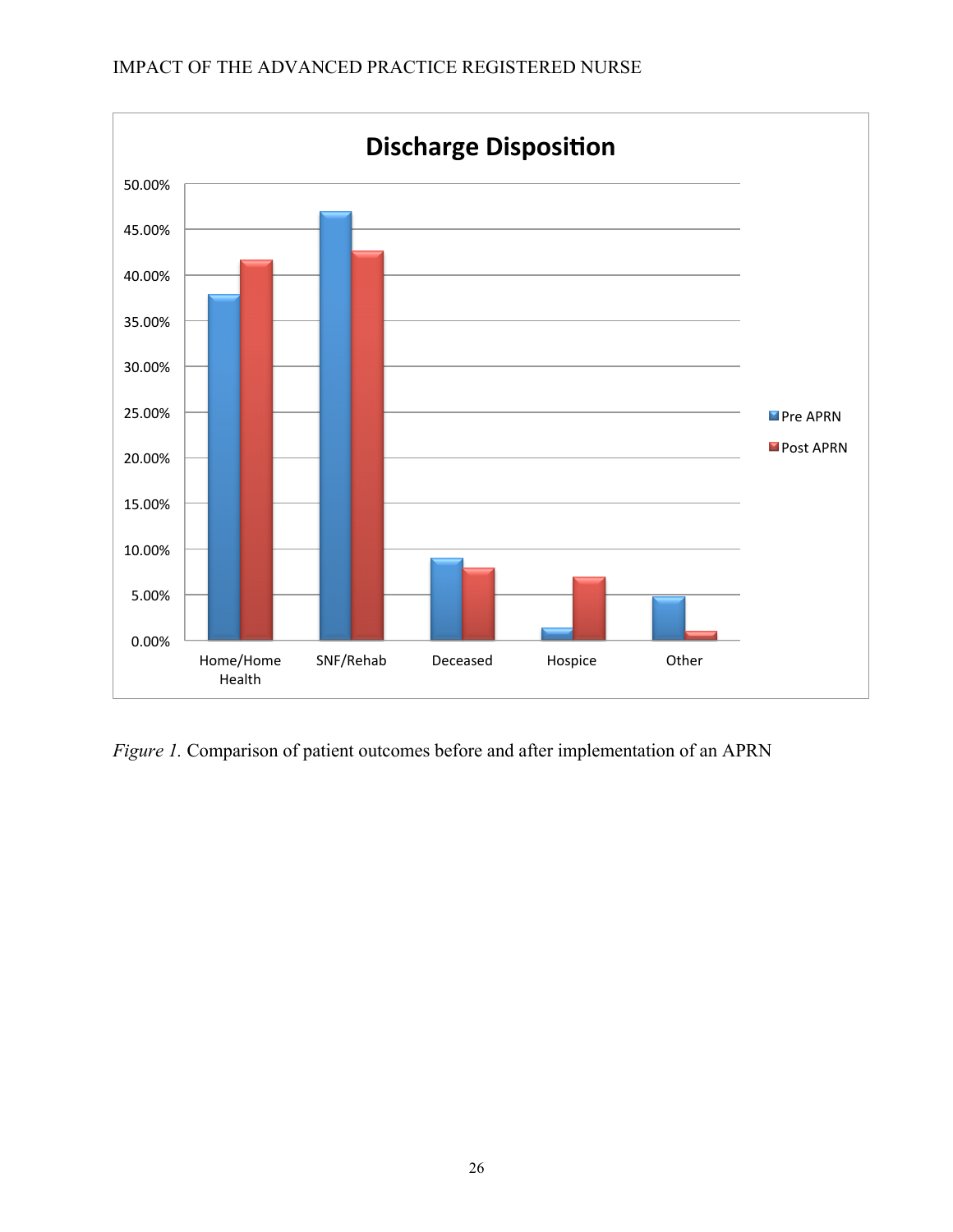

*Figure 1.* Comparison of patient outcomes before and after implementation of an APRN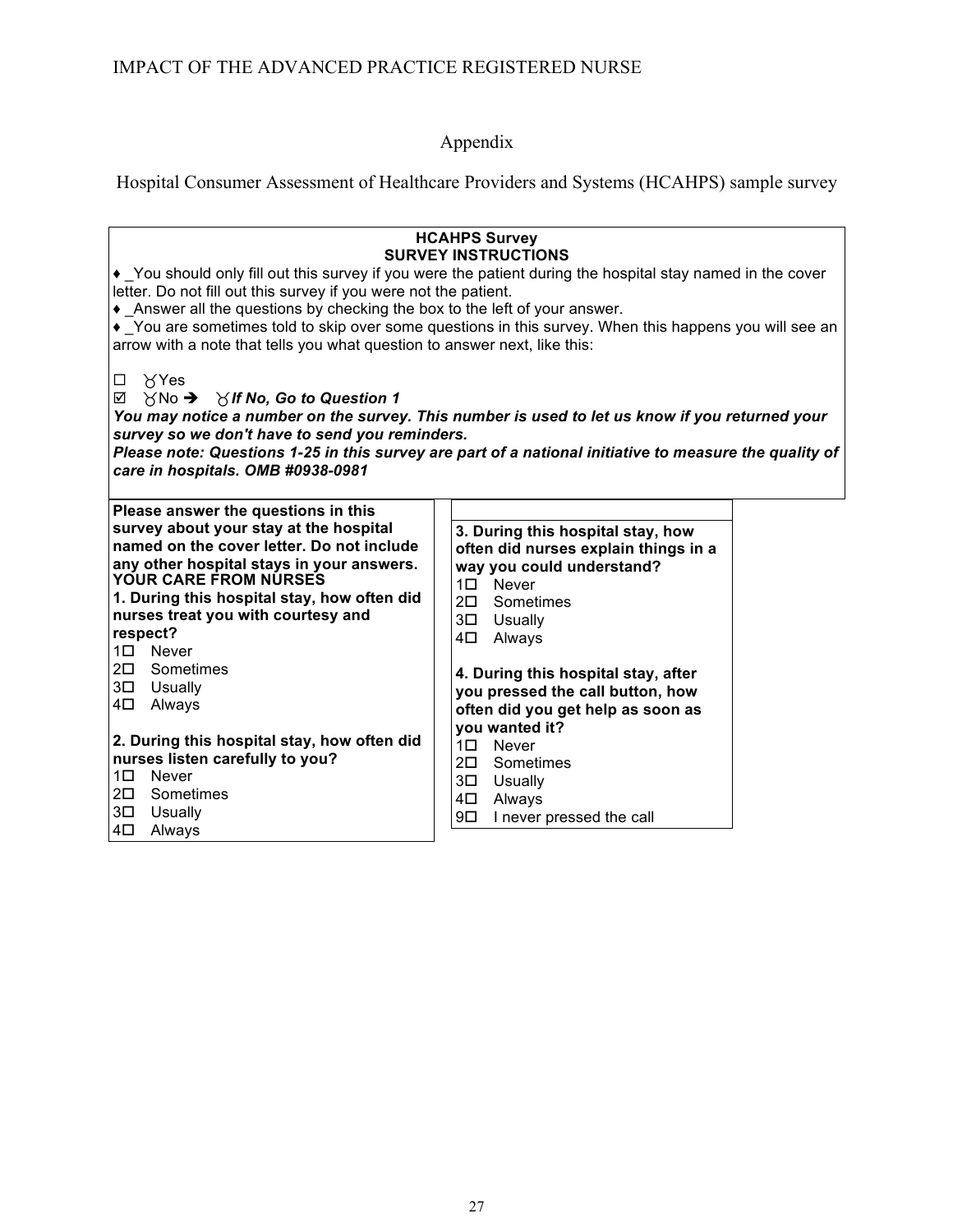Appendix

Hospital Consumer Assessment of Healthcare Providers and Systems (HCAHPS) sample survey

| • You should only fill out this survey if you were the patient during the hospital stay named in the cover<br>letter. Do not fill out this survey if you were not the patient.<br>• Answer all the questions by checking the box to the left of your answer.<br>• You are sometimes told to skip over some questions in this survey. When this happens you will see an<br>arrow with a note that tells you what question to answer next, like this: | <b>HCAHPS Survey</b><br><b>SURVEY INSTRUCTIONS</b>                        |  |
|-----------------------------------------------------------------------------------------------------------------------------------------------------------------------------------------------------------------------------------------------------------------------------------------------------------------------------------------------------------------------------------------------------------------------------------------------------|---------------------------------------------------------------------------|--|
| $\forall$ Yes<br>$\Box$<br>☑<br>$\forall$ No $\rightarrow$ $\forall$ If No, Go to Question 1<br>You may notice a number on the survey. This number is used to let us know if you returned your<br>survey so we don't have to send you reminders.<br>Please note: Questions 1-25 in this survey are part of a national initiative to measure the quality of<br>care in hospitals. OMB #0938-0981                                                     |                                                                           |  |
| Please answer the questions in this<br>survey about your stay at the hospital                                                                                                                                                                                                                                                                                                                                                                       |                                                                           |  |
| named on the cover letter. Do not include                                                                                                                                                                                                                                                                                                                                                                                                           | 3. During this hospital stay, how<br>often did nurses explain things in a |  |
| any other hospital stays in your answers.<br>YOUR CARE FROM NURSES                                                                                                                                                                                                                                                                                                                                                                                  | way you could understand?                                                 |  |
|                                                                                                                                                                                                                                                                                                                                                                                                                                                     | 1□ Never                                                                  |  |
| 1. During this hospital stay, how often did                                                                                                                                                                                                                                                                                                                                                                                                         | 2 <sup>D</sup> Sometimes                                                  |  |
| nurses treat you with courtesy and<br>respect?                                                                                                                                                                                                                                                                                                                                                                                                      | 3 <sup>D</sup> Usually                                                    |  |
| 1 <sup>D</sup> Never                                                                                                                                                                                                                                                                                                                                                                                                                                | 4 <sup>D</sup> Always                                                     |  |
| $2\square$<br>Sometimes                                                                                                                                                                                                                                                                                                                                                                                                                             | 4. During this hospital stay, after                                       |  |
| $3\square$<br>Usually                                                                                                                                                                                                                                                                                                                                                                                                                               | you pressed the call button, how                                          |  |
| Always<br>4⊡                                                                                                                                                                                                                                                                                                                                                                                                                                        | often did you get help as soon as                                         |  |
|                                                                                                                                                                                                                                                                                                                                                                                                                                                     | you wanted it?                                                            |  |
| 2. During this hospital stay, how often did                                                                                                                                                                                                                                                                                                                                                                                                         | 10 Never                                                                  |  |
| nurses listen carefully to you?<br>$1\square$<br>Never                                                                                                                                                                                                                                                                                                                                                                                              | 2 <sup>D</sup> Sometimes                                                  |  |
| 2□<br>Sometimes                                                                                                                                                                                                                                                                                                                                                                                                                                     | 3 <sup>D</sup> Usually                                                    |  |
| Usually<br>3□                                                                                                                                                                                                                                                                                                                                                                                                                                       | 4 <sup>D</sup> Always                                                     |  |
| 4⊟<br>Always                                                                                                                                                                                                                                                                                                                                                                                                                                        | $9\square$<br>I never pressed the call                                    |  |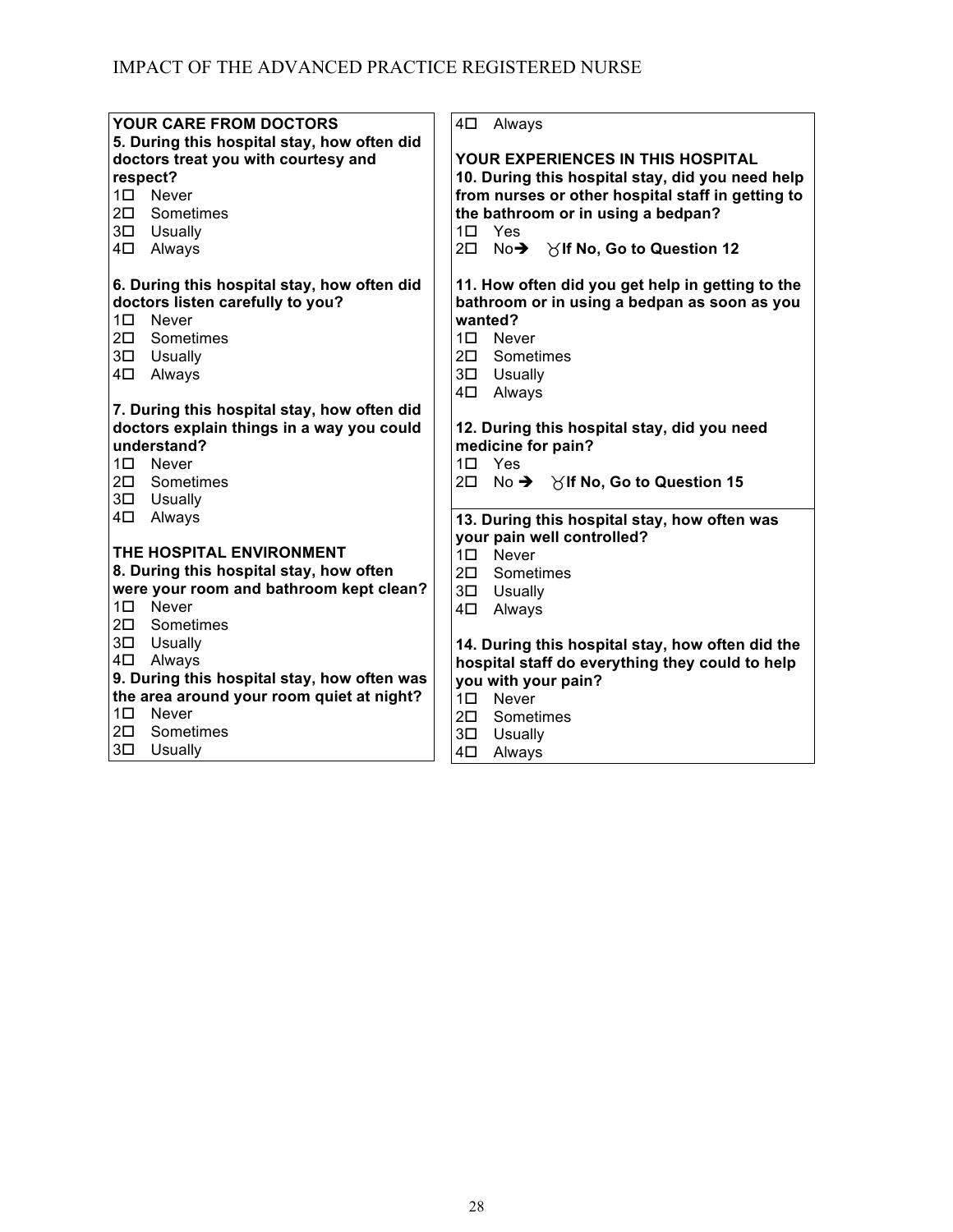| <b>YOUR CARE FROM DOCTORS</b>               | 4⊡<br>Always                                          |
|---------------------------------------------|-------------------------------------------------------|
| 5. During this hospital stay, how often did |                                                       |
| doctors treat you with courtesy and         | <b>YOUR EXPERIENCES IN THIS HOSPITAL</b>              |
| respect?                                    | 10. During this hospital stay, did you need help      |
| 1 <sup>D</sup> Never                        | from nurses or other hospital staff in getting to     |
| 2 <sup>D</sup> Sometimes                    | the bathroom or in using a bedpan?                    |
| 3 <sup>D</sup> Usually                      | 1 <sup>D</sup> Yes                                    |
| 4 <sup>D</sup> Always                       | 2□ No→ Yif No, Go to Question 12                      |
|                                             |                                                       |
| 6. During this hospital stay, how often did | 11. How often did you get help in getting to the      |
| doctors listen carefully to you?            | bathroom or in using a bedpan as soon as you          |
| $1\square$<br>Never                         | wanted?                                               |
| Sometimes<br>$2\square$                     | $1\square$ Never                                      |
| 3 <sup>D</sup> Usually                      | 2 <sup>D</sup> Sometimes                              |
| Always<br>4□                                | 3 <sup>D</sup> Usually                                |
|                                             | 4□<br>Always                                          |
| 7. During this hospital stay, how often did |                                                       |
| doctors explain things in a way you could   | 12. During this hospital stay, did you need           |
| understand?                                 | medicine for pain?                                    |
| $1\square$ Never                            | $1\square$ Yes                                        |
| 2 <sup>D</sup> Sometimes                    | 20 No $\rightarrow$ $\times$ If No, Go to Question 15 |
| 3 <sup>D</sup> Usually                      |                                                       |
| 4⊟<br>Always                                | 13. During this hospital stay, how often was          |
|                                             | your pain well controlled?                            |
| THE HOSPITAL ENVIRONMENT                    | $1\square$ Never                                      |
| 8. During this hospital stay, how often     | 2 <sup>D</sup> Sometimes                              |
| were your room and bathroom kept clean?     | 3 <sup>D</sup> Usually                                |
| 1□ Never                                    | 4 <sup>D</sup> Always                                 |
| 2 <sup>D</sup> Sometimes                    |                                                       |
| 3 <sup>D</sup> Usually                      | 14. During this hospital stay, how often did the      |
| 4 <sup>D</sup> Always                       | hospital staff do everything they could to help       |
| 9. During this hospital stay, how often was | you with your pain?                                   |
| the area around your room quiet at night?   | 1 <sup>D</sup> Never                                  |
| $1\square$<br>Never                         | 2 <sup>D</sup> Sometimes                              |
| $2\square$<br>Sometimes                     | 3 <sup>D</sup> Usually                                |
| 3□<br>Usually                               | 4⊟<br>Always                                          |
|                                             |                                                       |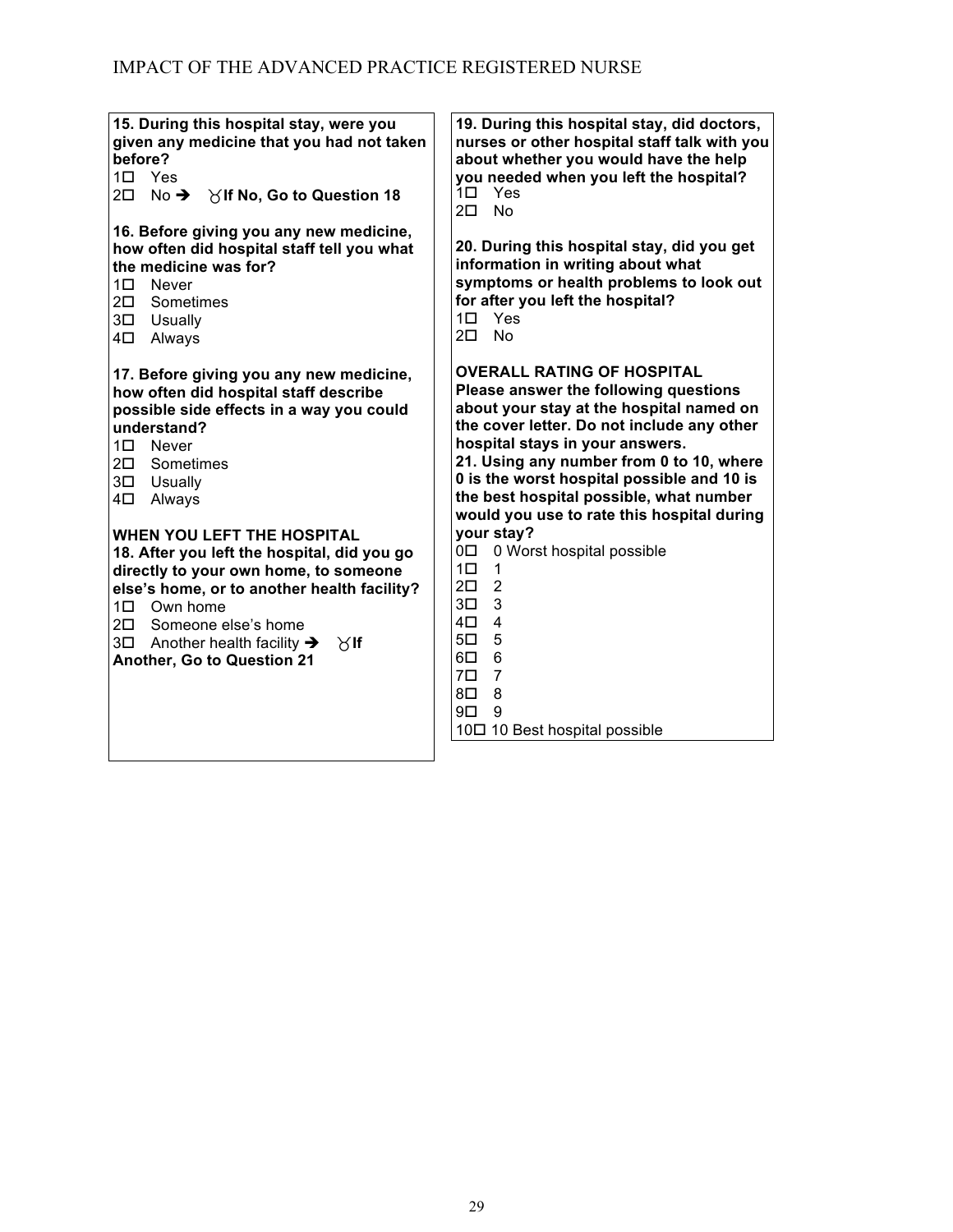| 15. During this hospital stay, were you<br>given any medicine that you had not taken<br>before?<br>$1\square$ Yes<br>No $\rightarrow$ $\forall$ If No, Go to Question 18<br>$2\square$                                                                                                                                                     | 19. During this hospital stay, did doctors,<br>nurses or other hospital staff talk with you<br>about whether you would have the help<br>you needed when you left the hospital?<br>1□ Yes<br><b>No</b><br>$2\square$                                                                                                                                                                        |
|--------------------------------------------------------------------------------------------------------------------------------------------------------------------------------------------------------------------------------------------------------------------------------------------------------------------------------------------|--------------------------------------------------------------------------------------------------------------------------------------------------------------------------------------------------------------------------------------------------------------------------------------------------------------------------------------------------------------------------------------------|
| 16. Before giving you any new medicine,<br>how often did hospital staff tell you what<br>the medicine was for?<br>1 <sub>1</sub><br>Never<br>$2\square$<br>Sometimes<br>3 <sup>D</sup> Usually<br>4□<br>Always                                                                                                                             | 20. During this hospital stay, did you get<br>information in writing about what<br>symptoms or health problems to look out<br>for after you left the hospital?<br>$1\square$ Yes<br>$2\square$<br>- No                                                                                                                                                                                     |
| 17. Before giving you any new medicine,<br>how often did hospital staff describe<br>possible side effects in a way you could<br>understand?<br>10 Never<br>$2\square$<br>Sometimes<br>3 <sup>D</sup> Usually<br>4□<br>Always                                                                                                               | <b>OVERALL RATING OF HOSPITAL</b><br>Please answer the following questions<br>about your stay at the hospital named on<br>the cover letter. Do not include any other<br>hospital stays in your answers.<br>21. Using any number from 0 to 10, where<br>0 is the worst hospital possible and 10 is<br>the best hospital possible, what number<br>would you use to rate this hospital during |
| <b>WHEN YOU LEFT THE HOSPITAL</b><br>18. After you left the hospital, did you go<br>directly to your own home, to someone<br>else's home, or to another health facility?<br>1 <sup>D</sup> Own home<br>2 <sup>D</sup> Someone else's home<br>$3\square$ Another health facility $\rightarrow$<br>$\aleph$ lf<br>Another, Go to Question 21 | your stay?<br>0 Worst hospital possible<br>0П<br>10<br>1<br>$\overline{2}$<br>$2\square$<br>3<br>$3\square$<br>$\overline{4}$<br>4□<br>5<br>$5\square$<br>$6\phantom{1}$<br>6□<br>$\overline{7}$<br>$7\square$<br>8<br>$8\square$<br>9<br>9□<br>10□ 10 Best hospital possible                                                                                                              |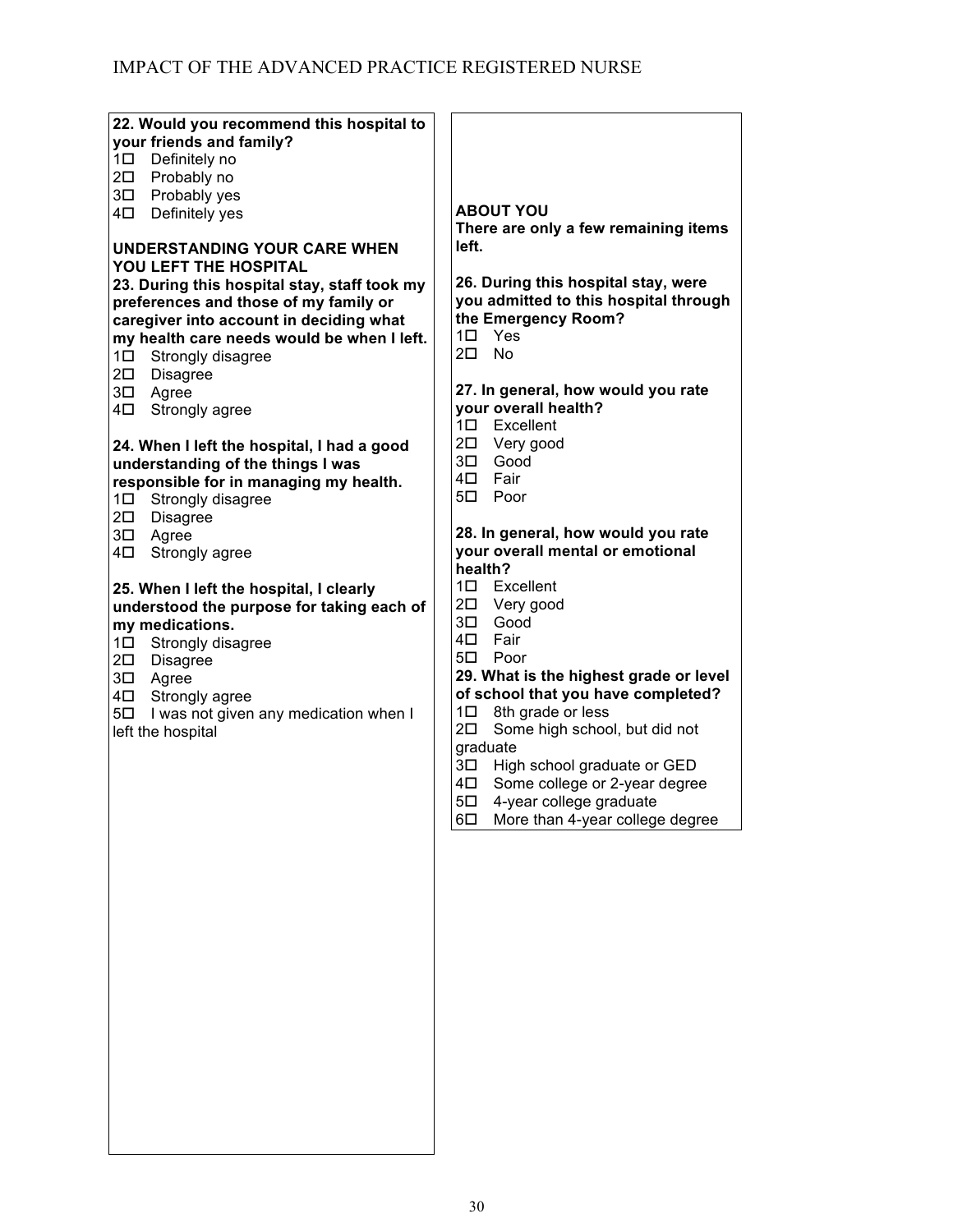| 22. Would you recommend this hospital to     |                                        |
|----------------------------------------------|----------------------------------------|
| your friends and family?                     |                                        |
| 1 <sup>D</sup> Definitely no                 |                                        |
| 20 Probably no                               |                                        |
|                                              |                                        |
| 3 <sup>D</sup> Probably yes                  |                                        |
| Definitely yes<br>4□                         | <b>ABOUT YOU</b>                       |
|                                              | There are only a few remaining items   |
| UNDERSTANDING YOUR CARE WHEN                 | left.                                  |
| YOU LEFT THE HOSPITAL                        |                                        |
| 23. During this hospital stay, staff took my | 26. During this hospital stay, were    |
|                                              | you admitted to this hospital through  |
| preferences and those of my family or        |                                        |
| caregiver into account in deciding what      | the Emergency Room?                    |
| my health care needs would be when I left.   | 1口<br>Yes                              |
| 1 <sup>D</sup> Strongly disagree             | $2\square$<br>No                       |
| 2 <sup>D</sup> Disagree                      |                                        |
| 3 <sup>D</sup> Agree                         | 27. In general, how would you rate     |
| Strongly agree<br>4□                         | your overall health?                   |
|                                              | 1 <sup>D</sup> Excellent               |
|                                              |                                        |
| 24. When I left the hospital, I had a good   | 2 <sup>D</sup> Very good               |
| understanding of the things I was            | 3□ Good                                |
| responsible for in managing my health.       | 4□ Fair                                |
| 1 <sup>D</sup> Strongly disagree             | 5 <sup>D</sup> Poor                    |
| 2 <sup>D</sup> Disagree                      |                                        |
| 3 <sup>D</sup> Agree                         | 28. In general, how would you rate     |
| Strongly agree<br>4□                         | your overall mental or emotional       |
|                                              | health?                                |
|                                              | 1 <sup>D</sup> Excellent               |
| 25. When I left the hospital, I clearly      |                                        |
| understood the purpose for taking each of    | 20 Very good                           |
| my medications.                              | Good<br>3□                             |
|                                              |                                        |
| 1 <sup>D</sup> Strongly disagree             | 4□ Fair                                |
|                                              | 5 <sup>D</sup> Poor                    |
| 2 <sup>D</sup> Disagree                      |                                        |
| 3 <sup>D</sup> Agree                         | 29. What is the highest grade or level |
| 4 <sup>D</sup> Strongly agree                | of school that you have completed?     |
| 50 I was not given any medication when I     | 8th grade or less<br>1□                |
| left the hospital                            | 2□<br>Some high school, but did not    |
|                                              | graduate                               |
|                                              | 3□<br>High school graduate or GED      |
|                                              | 4□<br>Some college or 2-year degree    |
|                                              | $5\square$<br>4-year college graduate  |
|                                              | $6\square$                             |
|                                              | More than 4-year college degree        |
|                                              |                                        |
|                                              |                                        |
|                                              |                                        |
|                                              |                                        |
|                                              |                                        |
|                                              |                                        |
|                                              |                                        |
|                                              |                                        |
|                                              |                                        |
|                                              |                                        |
|                                              |                                        |
|                                              |                                        |
|                                              |                                        |
|                                              |                                        |
|                                              |                                        |
|                                              |                                        |
|                                              |                                        |